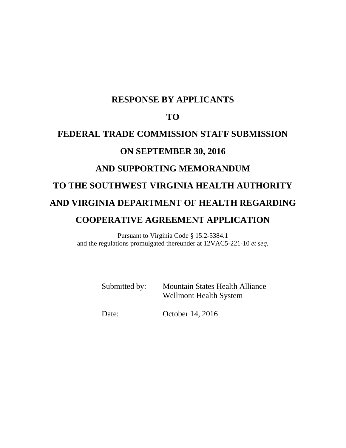# **RESPONSE BY APPLICANTS**

# **TO**

# **FEDERAL TRADE COMMISSION STAFF SUBMISSION ON SEPTEMBER 30, 2016 AND SUPPORTING MEMORANDUM TO THE SOUTHWEST VIRGINIA HEALTH AUTHORITY AND VIRGINIA DEPARTMENT OF HEALTH REGARDING COOPERATIVE AGREEMENT APPLICATION**

Pursuant to Virginia Code § 15.2-5384.1 and the regulations promulgated thereunder at 12VAC5-221-10 *et seq.*

> Submitted by: Mountain States Health Alliance Wellmont Health System

Date: October 14, 2016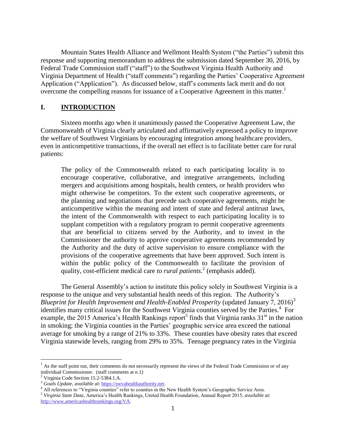Mountain States Health Alliance and Wellmont Health System ("the Parties") submit this response and supporting memorandum to address the submission dated September 30, 2016, by Federal Trade Commission staff ("staff") to the Southwest Virginia Health Authority and Virginia Department of Health ("staff comments") regarding the Parties' Cooperative Agreement Application ("Application"). As discussed below, staff's comments lack merit and do not overcome the compelling reasons for issuance of a Cooperative Agreement in this matter.<sup>1</sup>

#### **I. INTRODUCTION**

Sixteen months ago when it unanimously passed the Cooperative Agreement Law, the Commonwealth of Virginia clearly articulated and affirmatively expressed a policy to improve the welfare of Southwest Virginians by encouraging integration among healthcare providers, even in anticompetitive transactions, if the overall net effect is to facilitate better care for rural patients:

The policy of the Commonwealth related to each participating locality is to encourage cooperative, collaborative, and integrative arrangements, including mergers and acquisitions among hospitals, health centers, or health providers who might otherwise be competitors. To the extent such cooperative agreements, or the planning and negotiations that precede such cooperative agreements, might be anticompetitive within the meaning and intent of state and federal antitrust laws, the intent of the Commonwealth with respect to each participating locality is to supplant competition with a regulatory program to permit cooperative agreements that are beneficial to citizens served by the Authority, and to invest in the Commissioner the authority to approve cooperative agreements recommended by the Authority and the duty of active supervision to ensure compliance with the provisions of the cooperative agreements that have been approved. Such intent is within the public policy of the Commonwealth to facilitate the provision of quality, cost-efficient medical care *to rural patients*. 2 (emphasis added).

The General Assembly's action to institute this policy solely in Southwest Virginia is a response to the unique and very substantial health needs of this region. The Authority's *Blueprint for Health Improvement and Health-Enabled Prosperity* (updated January 7, 2016)<sup>3</sup> identifies many critical issues for the Southwest Virginia counties served by the Parties.<sup>4</sup> For example, the 2015 America's Health Rankings report<sup>5</sup> finds that Virginia ranks  $31<sup>st</sup>$  in the nation in smoking; the Virginia counties in the Parties' geographic service area exceed the national average for smoking by a range of 21% to 33%. These counties have obesity rates that exceed Virginia statewide levels, ranging from 29% to 35%. Teenage pregnancy rates in the Virginia

 $<sup>1</sup>$  As the staff point out, their comments do not necessarily represent the views of the Federal Trade Commission or of any</sup> individual Commissioner. (staff comments at n.1)

 $^{2}$  Virginia Code Section 15.2-5384.1.A.

<sup>3</sup> *Goals Update, available at*[: https://swvahealthauthority.net.](https://swvahealthauthority.net/)

<sup>&</sup>lt;sup>4</sup> All references to "Virginia counties" refer to counties in the New Health System's Geographic Service Area.

<sup>5</sup> *Virginia State Data*, America's Health Rankings, United Health Foundation, Annual Report 2015, *available at*: [http://www.americashealthrankings.org/VA.](http://www.americashealthrankings.org/VA)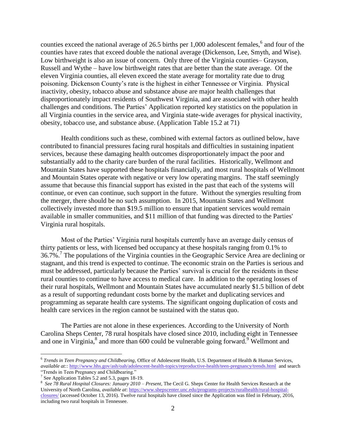counties exceed the national average of 26.5 births per 1,000 adolescent females,<sup>6</sup> and four of the counties have rates that exceed double the national average (Dickenson, Lee, Smyth, and Wise). Low birthweight is also an issue of concern. Only three of the Virginia counties– Grayson, Russell and Wythe – have low birthweight rates that are better than the state average. Of the eleven Virginia counties, all eleven exceed the state average for mortality rate due to drug poisoning. Dickenson County's rate is the highest in either Tennessee or Virginia. Physical inactivity, obesity, tobacco abuse and substance abuse are major health challenges that disproportionately impact residents of Southwest Virginia, and are associated with other health challenges and conditions. The Parties' Application reported key statistics on the population in all Virginia counties in the service area, and Virginia state-wide averages for physical inactivity, obesity, tobacco use, and substance abuse. (Application Table 15.2 at 71)

Health conditions such as these, combined with external factors as outlined below, have contributed to financial pressures facing rural hospitals and difficulties in sustaining inpatient services, because these damaging health outcomes disproportionately impact the poor and substantially add to the charity care burden of the rural facilities. Historically, Wellmont and Mountain States have supported these hospitals financially, and most rural hospitals of Wellmont and Mountain States operate with negative or very low operating margins. The staff seemingly assume that because this financial support has existed in the past that each of the systems will continue, or even can continue, such support in the future. Without the synergies resulting from the merger, there should be no such assumption. In 2015, Mountain States and Wellmont collectively invested more than \$19.5 million to ensure that inpatient services would remain available in smaller communities, and \$11 million of that funding was directed to the Parties' Virginia rural hospitals.

Most of the Parties' Virginia rural hospitals currently have an average daily census of thirty patients or less, with licensed bed occupancy at these hospitals ranging from 0.1% to 36.7%.<sup>7</sup> The populations of the Virginia counties in the Geographic Service Area are declining or stagnant, and this trend is expected to continue. The economic strain on the Parties is serious and must be addressed, particularly because the Parties' survival is crucial for the residents in these rural counties to continue to have access to medical care. In addition to the operating losses of their rural hospitals, Wellmont and Mountain States have accumulated nearly \$1.5 billion of debt as a result of supporting redundant costs borne by the market and duplicating services and programming as separate health care systems. The significant ongoing duplication of costs and health care services in the region cannot be sustained with the status quo.

The Parties are not alone in these experiences. According to the University of North Carolina Sheps Center, 78 rural hospitals have closed since 2010, including eight in Tennessee and one in Virginia,<sup>8</sup> and more than 600 could be vulnerable going forward.<sup>9</sup> Wellmont and

<sup>6</sup> *Trends in Teen Pregnancy and Childbearing*, Office of Adolescent Health, U.S. Department of Health & Human Services, *available at::* <http://www.hhs.gov/ash/oah/adolescent-health-topics/reproductive-health/teen-pregnancy/trends.html>and search "Trends in Teen Pregnancy and Childbearing."

<sup>&</sup>lt;sup>7</sup> See Application Tables 5.2 and 5.3, pages 18-19.

<sup>8</sup> *See 78 Rural Hospital Closures: January 2010 – Present*, The Cecil G. Sheps Center for Health Services Research at the University of North Carolina, *available at*[: https://www.shepscenter.unc.edu/programs-projects/ruralhealth/rural-hospital-](https://www.shepscenter.unc.edu/programs-projects/ruralhealth/rural-hospital-closures/)

[closures/](https://www.shepscenter.unc.edu/programs-projects/ruralhealth/rural-hospital-closures/) (accessed October 13, 2016). Twelve rural hospitals have closed since the Application was filed in February, 2016, including two rural hospitals in Tennessee.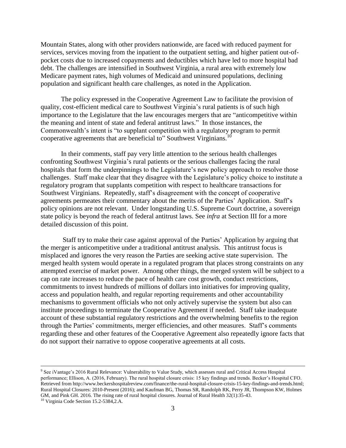Mountain States, along with other providers nationwide, are faced with reduced payment for services, services moving from the inpatient to the outpatient setting, and higher patient out-ofpocket costs due to increased copayments and deductibles which have led to more hospital bad debt. The challenges are intensified in Southwest Virginia, a rural area with extremely low Medicare payment rates, high volumes of Medicaid and uninsured populations, declining population and significant health care challenges, as noted in the Application.

The policy expressed in the Cooperative Agreement Law to facilitate the provision of quality, cost-efficient medical care to Southwest Virginia's rural patients is of such high importance to the Legislature that the law encourages mergers that are "anticompetitive within the meaning and intent of state and federal antitrust laws." In those instances, the Commonwealth's intent is "to supplant competition with a regulatory program to permit cooperative agreements that are beneficial to" Southwest Virginians.<sup>1</sup>

In their comments, staff pay very little attention to the serious health challenges confronting Southwest Virginia's rural patients or the serious challenges facing the rural hospitals that form the underpinnings to the Legislature's new policy approach to resolve those challenges. Staff make clear that they disagree with the Legislature's policy choice to institute a regulatory program that supplants competition with respect to healthcare transactions for Southwest Virginians. Repeatedly, staff's disagreement with the concept of cooperative agreements permeates their commentary about the merits of the Parties' Application. Staff's policy opinions are not relevant. Under longstanding U.S. Supreme Court doctrine, a sovereign state policy is beyond the reach of federal antitrust laws. See *infra* at Section III for a more detailed discussion of this point.

Staff try to make their case against approval of the Parties' Application by arguing that the merger is anticompetitive under a traditional antitrust analysis. This antitrust focus is misplaced and ignores the very reason the Parties are seeking active state supervision. The merged health system would operate in a regulated program that places strong constraints on any attempted exercise of market power. Among other things, the merged system will be subject to a cap on rate increases to reduce the pace of health care cost growth, conduct restrictions, commitments to invest hundreds of millions of dollars into initiatives for improving quality, access and population health, and regular reporting requirements and other accountability mechanisms to government officials who not only actively supervise the system but also can institute proceedings to terminate the Cooperative Agreement if needed. Staff take inadequate account of these substantial regulatory restrictions and the overwhelming benefits to the region through the Parties' commitments, merger efficiencies, and other measures. Staff's comments regarding these and other features of the Cooperative Agreement also repeatedly ignore facts that do not support their narrative to oppose cooperative agreements at all costs.

<sup>&</sup>lt;sup>9</sup> See iVantage's 2016 Rural Relevance: Vulnerability to Value Study, which assesses rural and Critical Access Hospital performance; Ellison, A. (2016, February). The rural hospital closure crisis: 15 key findings and trends. Becker's Hospital CFO. Retrieved from http://www.beckershospitalreview.com/finance/the-rural-hospital-closure-crisis-15-key-findings-and-trends.html; Rural Hospital Closures: 2010-Present (2016); and Kaufman BG, Thomas SR, Randolph RK, Perry JR, Thompson KW, Holmes GM, and Pink GH. 2016. The rising rate of rural hospital closures. Journal of Rural Health 32(1):35-43.

<sup>10</sup> Virginia Code Section 15.2-5384,2.A.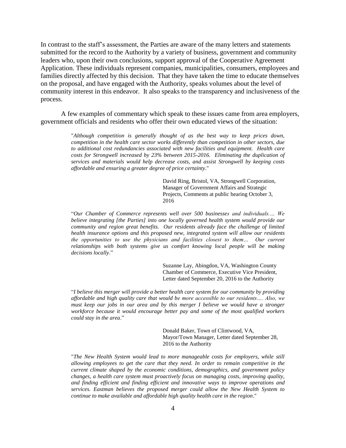In contrast to the staff's assessment, the Parties are aware of the many letters and statements submitted for the record to the Authority by a variety of business, government and community leaders who, upon their own conclusions, support approval of the Cooperative Agreement Application. These individuals represent companies, municipalities, consumers, employees and families directly affected by this decision. That they have taken the time to educate themselves on the proposal, and have engaged with the Authority, speaks volumes about the level of community interest in this endeavor. It also speaks to the transparency and inclusiveness of the process.

A few examples of commentary which speak to these issues came from area employers, government officials and residents who offer their own educated views of the situation:

> "*Although competition is generally thought of as the best way to keep prices down, competition in the health care sector works differently than competition in other sectors, due to additional cost redundancies associated with new facilities and equipment. Health care costs for Strongwell increased by 23% between 2015-2016. Eliminating the duplication of services and materials would help decrease costs, and assist Strongwell by keeping costs affordable and ensuring a greater degree of price certainty*."

> > David Ring, Bristol, VA, Strongwell Corporation, Manager of Government Affairs and Strategic Projects, Comments at public hearing October 3, 2016

"*Our Chamber of Commerce represents well over 500 businesses and individuals.… We believe integrating [the Parties] into one locally governed health system would provide our community and region great benefits. Our residents already face the challenge of limited health insurance options and this proposed new, integrated system will allow our residents the opportunities to use the physicians and facilities closest to them… Our current relationships with both systems give us comfort knowing local people will be making decisions locally*."

> Suzanne Lay, Abingdon, VA, Washington County Chamber of Commerce, Executive Vice President, Letter dated September 20, 2016 to the Authority

"*I believe this merger will provide a better health care system for our community by providing affordable and high quality care that would be more accessible to our residents…. Also, we must keep our jobs in our area and by this merger I believe we would have a stronger workforce because it would encourage better pay and some of the most qualified workers could stay in the area*."

> Donald Baker, Town of Clintwood, VA, Mayor/Town Manager, Letter dated September 28, 2016 to the Authority

"*The New Health System would lead to more manageable costs for employers, while still allowing employees to get the care that they need. In order to remain competitive in the current climate shaped by the economic conditions, demographics, and government policy changes, a health care system must proactively focus on managing costs, improving quality, and finding efficient and finding efficient and innovative ways to improve operations and services. Eastman believes the proposed merger could allow the New Health System to continue to make available and affordable high quality health care in the region*."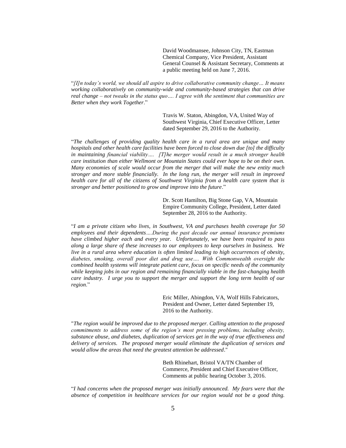David Woodmansee, Johnson City, TN, Eastman Chemical Company, Vice President, Assistant General Counsel & Assistant Secretary, Comments at a public meeting held on June 7, 2016.

"*[I]n today's world, we should all aspire to drive collaborative community change… It means working collaboratively on community-wide and community-based strategies that can drive real change – not tweaks in the status quo…. I agree with the sentiment that communities are Better when they work Together*."

> Travis W. Staton, Abingdon, VA, United Way of Southwest Virginia, Chief Executive Officer, Letter dated September 29, 2016 to the Authority.

"*The challenges of providing quality health care in a rural area are unique and many hospitals and other health care facilities have been forced to close down due [to] the difficulty in maintaining financial viability…. [T]he merger would result in a much stronger health care institution than either Wellmont or Mountain States could ever hope to be on their own. Many economies of scale would occur from the merger that will make the new entity much stronger and more stable financially. In the long run, the merger will result in improved health care for all of the citizens of Southwest Virginia from a health care system that is stronger and better positioned to grow and improve into the future*."

> Dr. Scott Hamilton, Big Stone Gap, VA, Mountain Empire Community College, President, Letter dated September 28, 2016 to the Authority.

"*I am a private citizen who lives, in Southwest, VA and purchases health coverage for 50 employees and their dependents….During the past decade our annual insurance premiums have climbed higher each and every year. Unfortunately, we have been required to pass along a large share of these increases to our employees to keep ourselves in business. We live in a rural area where education is often limited leading to high occurrences of obesity, diabetes, smoking, overall poor diet and drug use…. With Commonwealth oversight the combined health systems will integrate patient care, focus on specific needs of the community while keeping jobs in our region and remaining financially viable in the fast-changing health care industry. I urge you to support the merger and support the long term health of our region*."

> Eric Miller, Abingdon, VA, Wolf Hills Fabricators, President and Owner, Letter dated September 19, 2016 to the Authority.

"*The region would be improved due to the proposed merger. Calling attention to the proposed commitments to address some of the region's most pressing problems, including obesity, substance abuse, and diabetes, duplication of services get in the way of true effectiveness and delivery of services. The proposed merger would eliminate the duplication of services and would allow the areas that need the greatest attention be addressed*."

> Beth Rhinehart, Bristol VA/TN Chamber of Commerce, President and Chief Executive Officer, Comments at public hearing October 3, 2016.

"*I had concerns when the proposed merger was initially announced. My fears were that the absence of competition in healthcare services for our region would not be a good thing.*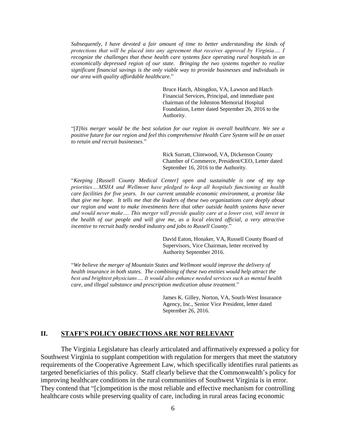*Subsequently, I have devoted a fair amount of time to better understanding the kinds of protections that will be placed into any agreement that receives approval by Virginia…. I recognize the challenges that these health care systems face operating rural hospitals in an economically depressed region of our state. Bringing the two systems together to realize significant financial savings is the only viable way to provide businesses and individuals in our area with quality affordable healthcare*."

> Bruce Hatch, Abingdon, VA, Lawson and Hatch Financial Services, Principal, and immediate past chairman of the Johnston Memorial Hospital Foundation, Letter dated September 26, 2016 to the Authority.

"[*T]his merger would be the best solution for our region in overall healthcare. We see a positive future for our region and feel this comprehensive Health Care System will be an asset to retain and recruit businesses*."

> Rick Surratt, Clintwood, VA, Dickenson County Chamber of Commerce, President/CEO, Letter dated September 16, 2016 to the Authority.

"*Keeping [Russell County Medical Center] open and sustainable is one of my top priorities….MSHA and Wellmont have pledged to keep all hospitals functioning as health care facilities for five years. In our current unstable economic environment, a promise like that give me hope. It tells me that the leaders of these two organizations care deeply about our region and want to make investments here that other outside health systems have never and would never make…. This merger will provide quality care at a lower cost, will invest in the health of our people and will give me, as a local elected official, a very attractive incentive to recruit badly needed industry and jobs to Russell County*."

> David Eaton, Honaker, VA, Russell County Board of Supervisors, Vice Chairman, letter received by Authority September 2016.

"*We believe the merger of Mountain States and Wellmont would improve the delivery of health insurance in both states. The combining of these two entities would help attract the best and brightest physicians…. It would also enhance needed services such as mental health care, and illegal substance and prescription medication abuse treatment*."

> James K. Gilley, Norton, VA, South-West Insurance Agency, Inc., Senior Vice President, letter dated September 26, 2016.

# **II. STAFF'S POLICY OBJECTIONS ARE NOT RELEVANT**

The Virginia Legislature has clearly articulated and affirmatively expressed a policy for Southwest Virginia to supplant competition with regulation for mergers that meet the statutory requirements of the Cooperative Agreement Law, which specifically identifies rural patients as targeted beneficiaries of this policy. Staff clearly believe that the Commonwealth's policy for improving healthcare conditions in the rural communities of Southwest Virginia is in error. They contend that "[c]ompetition is the most reliable and effective mechanism for controlling healthcare costs while preserving quality of care, including in rural areas facing economic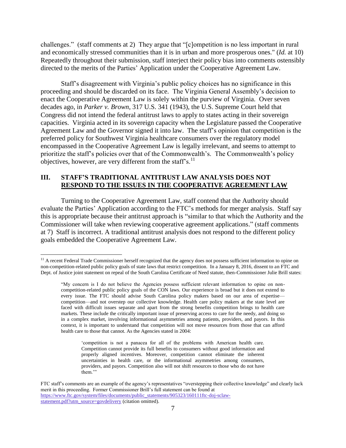challenges." (staff comments at 2) They argue that "[c]ompetition is no less important in rural and economically stressed communities than it is in urban and more prosperous ones." (*Id.* at 10) Repeatedly throughout their submission, staff interject their policy bias into comments ostensibly directed to the merits of the Parties' Application under the Cooperative Agreement Law.

Staff's disagreement with Virginia's public policy choices has no significance in this proceeding and should be discarded on its face. The Virginia General Assembly's decision to enact the Cooperative Agreement Law is solely within the purview of Virginia. Over seven decades ago, in *Parker v. Brown*, 317 U.S. 341 (1943), the U.S. Supreme Court held that Congress did not intend the federal antitrust laws to apply to states acting in their sovereign capacities. Virginia acted in its sovereign capacity when the Legislature passed the Cooperative Agreement Law and the Governor signed it into law. The staff's opinion that competition is the preferred policy for Southwest Virginia healthcare consumers over the regulatory model encompassed in the Cooperative Agreement Law is legally irrelevant, and seems to attempt to prioritize the staff's policies over that of the Commonwealth's. The Commonwealth's policy objectives, however, are very different from the staff's. $^{11}$ 

#### **III. STAFF'S TRADITIONAL ANTITRUST LAW ANALYSIS DOES NOT RESPOND TO THE ISSUES IN THE COOPERATIVE AGREEMENT LAW**

Turning to the Cooperative Agreement Law, staff contend that the Authority should evaluate the Parties' Application according to the FTC's methods for merger analysis. Staff say this is appropriate because their antitrust approach is "similar to that which the Authority and the Commissioner will take when reviewing cooperative agreement applications." (staff comments at 7) Staff is incorrect. A traditional antitrust analysis does not respond to the different policy goals embedded the Cooperative Agreement Law.

<sup>&</sup>lt;sup>11</sup> A recent Federal Trade Commissioner herself recognized that the agency does not possess sufficient information to opine on non-competition-related public policy goals of state laws that restrict competition. In a January 8, 2016, dissent to an FTC and Dept. of Justice joint statement on repeal of the South Carolina Certificate of Need statute, then-Commissioner Julie Brill states:

<sup>&</sup>quot;My concern is I do not believe the Agencies possess sufficient relevant information to opine on noncompetition-related public policy goals of the CON laws. Our experience is broad but it does not extend to every issue. The FTC should advise South Carolina policy makers based on our area of expertise competition—and not overstep our collective knowledge. Health care policy makers at the state level are faced with difficult issues separate and apart from the strong benefits competition brings to health care markets. These include the critically important issue of preserving access to care for the needy, and doing so in a complex market, involving informational asymmetries among patients, providers, and payors. In this context, it is important to understand that competition will not move resources from those that can afford health care to those that cannot. As the Agencies stated in 2004:

<sup>&#</sup>x27;competition is not a panacea for all of the problems with American health care. Competition cannot provide its full benefits to consumers without good information and properly aligned incentives. Moreover, competition cannot eliminate the inherent uncertainties in health care, or the informational asymmetries among consumers, providers, and payors. Competition also will not shift resources to those who do not have them."

FTC staff's comments are an example of the agency's representatives "overstepping their collective knowledge" and clearly lack merit in this proceeding. Former Commissioner Brill's full statement can be found at [https://www.ftc.gov/system/files/documents/public\\_statements/905323/160111ftc-doj-sclaw](https://www.ftc.gov/system/files/documents/public_statements/905323/160111ftc-doj-sclaw-statement.pdf?utm_source=govdelivery)[statement.pdf?utm\\_source=govdelivery](https://www.ftc.gov/system/files/documents/public_statements/905323/160111ftc-doj-sclaw-statement.pdf?utm_source=govdelivery) (citation omitted).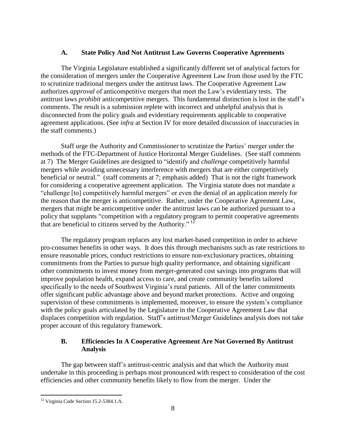#### **A. State Policy And Not Antitrust Law Governs Cooperative Agreements**

The Virginia Legislature established a significantly different set of analytical factors for the consideration of mergers under the Cooperative Agreement Law from those used by the FTC to scrutinize traditional mergers under the antitrust laws. The Cooperative Agreement Law authorizes *approval* of anticompetitive mergers that meet the Law's evidentiary tests. The antitrust laws *prohibit* anticompetitive mergers. This fundamental distinction is lost in the staff's comments. The result is a submission replete with incorrect and unhelpful analysis that is disconnected from the policy goals and evidentiary requirements applicable to cooperative agreement applications. (See *infra* at Section IV for more detailed discussion of inaccuracies in the staff comments.)

Staff urge the Authority and Commissioner to scrutinize the Parties' merger under the methods of the FTC-Department of Justice Horizontal Merger Guidelines. (See staff comments at 7) The Merger Guidelines are designed to "identify and *challenge* competitively harmful mergers while avoiding unnecessary interference with mergers that are either competitively beneficial or neutral." (staff comments at 7; emphasis added) That is not the right framework for considering a cooperative agreement application. The Virginia statute does not mandate a "challenge [to] competitively harmful mergers" or even the denial of an application merely for the reason that the merger is anticompetitive. Rather, under the Cooperative Agreement Law, mergers that might be anticompetitive under the antitrust laws can be authorized pursuant to a policy that supplants "competition with a regulatory program to permit cooperative agreements that are beneficial to citizens served by the Authority."  $12$ 

The regulatory program replaces any lost market-based competition in order to achieve pro-consumer benefits in other ways. It does this through mechanisms such as rate restrictions to ensure reasonable prices, conduct restrictions to ensure non-exclusionary practices, obtaining commitments from the Parties to pursue high quality performance, and obtaining significant other commitments to invest money from merger-generated cost savings into programs that will improve population health, expand access to care, and create community benefits tailored specifically to the needs of Southwest Virginia's rural patients. All of the latter commitments offer significant public advantage above and beyond market protections. Active and ongoing supervision of these commitments is implemented, moreover, to ensure the system's compliance with the policy goals articulated by the Legislature in the Cooperative Agreement Law that displaces competition with regulation. Staff's antitrust/Merger Guidelines analysis does not take proper account of this regulatory framework.

#### **B. Efficiencies In A Cooperative Agreement Are Not Governed By Antitrust Analysis**

The gap between staff's antitrust-centric analysis and that which the Authority must undertake in this proceeding is perhaps most pronounced with respect to consideration of the cost efficiencies and other community benefits likely to flow from the merger. Under the

<sup>12</sup> Virginia Code Section 15.2-5384.1.A.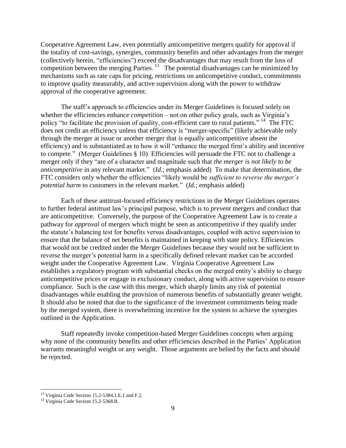Cooperative Agreement Law, even potentially anticompetitive mergers qualify for approval if the totality of cost-savings, synergies, community benefits and other advantages from the merger (collectively herein, "efficiencies") exceed the disadvantages that may result from the loss of competition between the merging Parties.<sup>13</sup> The potential disadvantages can be minimized by mechanisms such as rate caps for pricing, restrictions on anticompetitive conduct, commitments to improve quality measurably, and active supervision along with the power to withdraw approval of the cooperative agreement.

The staff's approach to efficiencies under its Merger Guidelines is focused solely on whether the efficiencies enhance *competition* – not on other policy goals, such as Virginia's policy "to facilitate the provision of quality, cost-efficient care to rural patients." <sup>14</sup> The FTC does not credit an efficiency unless that efficiency is "merger-specific" (likely achievable only through the merger at issue or another merger that is equally anticompetitive absent the efficiency) and is substantiated as to how it will "enhance the merged firm's ability and incentive to compete." (Merger Guidelines § 10) Efficiencies will persuade the FTC not to challenge a merger only if they "are of a character and magnitude such that *the merger is not likely to be anticompetitive* in any relevant market." (*Id.*; emphasis added) To make that determination, the FTC considers only whether the efficiencies "likely would be *sufficient to reverse the merger's potential harm* to customers in the relevant market." (*Id.*; emphasis added)

Each of these antitrust-focused efficiency restrictions in the Merger Guidelines operates to further federal antitrust law's principal purpose, which is to *prevent* mergers and conduct that are anticompetitive. Conversely, the purpose of the Cooperative Agreement Law is to create a pathway for *approval* of mergers which might be seen as anticompetitive if they qualify under the statute's balancing test for benefits versus disadvantages, coupled with active supervision to ensure that the balance of net benefits is maintained in keeping with state policy. Efficiencies that would not be credited under the Merger Guidelines because they would not be sufficient to reverse the merger's potential harm in a specifically defined relevant market can be accorded weight under the Cooperative Agreement Law. Virginia Cooperative Agreement Law establishes a regulatory program with substantial checks on the merged entity's ability to charge anticompetitive prices or engage in exclusionary conduct, along with active supervision to ensure compliance. Such is the case with this merger, which sharply limits any risk of potential disadvantages while enabling the provision of numerous benefits of substantially greater weight. It should also be noted that due to the significance of the investment commitments being made by the merged system, there is overwhelming incentive for the system to achieve the synergies outlined in the Application.

Staff repeatedly invoke competition-based Merger Guidelines concepts when arguing why none of the community benefits and other efficiencies described in the Parties' Application warrants meaningful weight or any weight. Those arguments are belied by the facts and should be rejected.

<sup>&</sup>lt;sup>13</sup> Virginia Code Section 15.2-5384.1.E.1 and F.2.

<sup>&</sup>lt;sup>14</sup> Virginia Code Section 15.2-5368.B.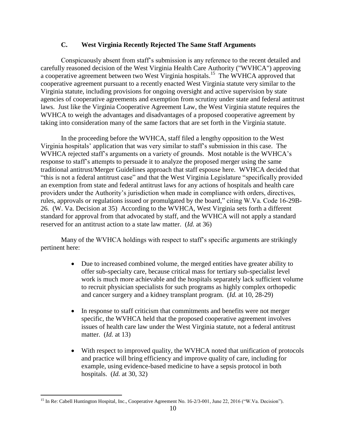# **C. West Virginia Recently Rejected The Same Staff Arguments**

Conspicuously absent from staff's submission is any reference to the recent detailed and carefully reasoned decision of the West Virginia Health Care Authority ("WVHCA") approving a cooperative agreement between two West Virginia hospitals.<sup>15</sup> The WVHCA approved that cooperative agreement pursuant to a recently enacted West Virginia statute very similar to the Virginia statute, including provisions for ongoing oversight and active supervision by state agencies of cooperative agreements and exemption from scrutiny under state and federal antitrust laws. Just like the Virginia Cooperative Agreement Law, the West Virginia statute requires the WVHCA to weigh the advantages and disadvantages of a proposed cooperative agreement by taking into consideration many of the same factors that are set forth in the Virginia statute.

In the proceeding before the WVHCA, staff filed a lengthy opposition to the West Virginia hospitals' application that was very similar to staff's submission in this case. The WVHCA rejected staff's arguments on a variety of grounds. Most notable is the WVHCA's response to staff's attempts to persuade it to analyze the proposed merger using the same traditional antitrust/Merger Guidelines approach that staff espouse here. WVHCA decided that "this is not a federal antitrust case" and that the West Virginia Legislature "specifically provided an exemption from state and federal antitrust laws for any actions of hospitals and health care providers under the Authority's jurisdiction when made in compliance with orders, directives, rules, approvals or regulations issued or promulgated by the board," citing W.Va. Code 16-29B-26. (W. Va. Decision at 35) According to the WVHCA, West Virginia sets forth a different standard for approval from that advocated by staff, and the WVHCA will not apply a standard reserved for an antitrust action to a state law matter. (*Id.* at 36)

Many of the WVHCA holdings with respect to staff's specific arguments are strikingly pertinent here:

- Due to increased combined volume, the merged entities have greater ability to offer sub-specialty care, because critical mass for tertiary sub-specialist level work is much more achievable and the hospitals separately lack sufficient volume to recruit physician specialists for such programs as highly complex orthopedic and cancer surgery and a kidney transplant program. (*Id.* at 10, 28-29)
- In response to staff criticism that commitments and benefits were not merger specific, the WVHCA held that the proposed cooperative agreement involves issues of health care law under the West Virginia statute, not a federal antitrust matter. (*Id.* at 13)
- With respect to improved quality, the WVHCA noted that unification of protocols and practice will bring efficiency and improve quality of care, including for example, using evidence-based medicine to have a sepsis protocol in both hospitals. (*Id.* at 30, 32)

 $\overline{a}$ <sup>15</sup> In Re: Cabell Huntington Hospital, Inc., Cooperative Agreement No. 16-2/3-001, June 22, 2016 ("W.Va. Decision").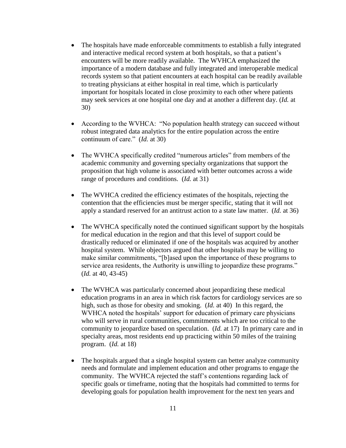- The hospitals have made enforceable commitments to establish a fully integrated and interactive medical record system at both hospitals, so that a patient's encounters will be more readily available. The WVHCA emphasized the importance of a modern database and fully integrated and interoperable medical records system so that patient encounters at each hospital can be readily available to treating physicians at either hospital in real time, which is particularly important for hospitals located in close proximity to each other where patients may seek services at one hospital one day and at another a different day. (*Id.* at 30)
- According to the WVHCA: "No population health strategy can succeed without robust integrated data analytics for the entire population across the entire continuum of care." (*Id.* at 30)
- The WVHCA specifically credited "numerous articles" from members of the academic community and governing specialty organizations that support the proposition that high volume is associated with better outcomes across a wide range of procedures and conditions. (*Id.* at 31)
- The WVHCA credited the efficiency estimates of the hospitals, rejecting the contention that the efficiencies must be merger specific, stating that it will not apply a standard reserved for an antitrust action to a state law matter. (*Id.* at 36)
- The WVHCA specifically noted the continued significant support by the hospitals for medical education in the region and that this level of support could be drastically reduced or eliminated if one of the hospitals was acquired by another hospital system. While objectors argued that other hospitals may be willing to make similar commitments, "[b]ased upon the importance of these programs to service area residents, the Authority is unwilling to jeopardize these programs." (*Id.* at 40, 43-45)
- The WVHCA was particularly concerned about jeopardizing these medical education programs in an area in which risk factors for cardiology services are so high, such as those for obesity and smoking. (*Id.* at 40) In this regard, the WVHCA noted the hospitals' support for education of primary care physicians who will serve in rural communities, commitments which are too critical to the community to jeopardize based on speculation. (*Id.* at 17) In primary care and in specialty areas, most residents end up practicing within 50 miles of the training program. (*Id.* at 18)
- The hospitals argued that a single hospital system can better analyze community needs and formulate and implement education and other programs to engage the community. The WVHCA rejected the staff's contentions regarding lack of specific goals or timeframe, noting that the hospitals had committed to terms for developing goals for population health improvement for the next ten years and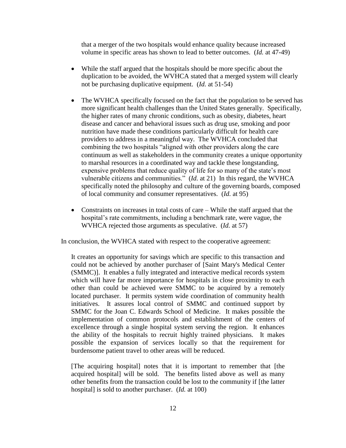that a merger of the two hospitals would enhance quality because increased volume in specific areas has shown to lead to better outcomes. (*Id.* at 47-49)

- While the staff argued that the hospitals should be more specific about the duplication to be avoided, the WVHCA stated that a merged system will clearly not be purchasing duplicative equipment. (*Id.* at 51-54)
- The WVHCA specifically focused on the fact that the population to be served has more significant health challenges than the United States generally. Specifically, the higher rates of many chronic conditions, such as obesity, diabetes, heart disease and cancer and behavioral issues such as drug use, smoking and poor nutrition have made these conditions particularly difficult for health care providers to address in a meaningful way. The WVHCA concluded that combining the two hospitals "aligned with other providers along the care continuum as well as stakeholders in the community creates a unique opportunity to marshal resources in a coordinated way and tackle these longstanding, expensive problems that reduce quality of life for so many of the state's most vulnerable citizens and communities." (*Id.* at 21) In this regard, the WVHCA specifically noted the philosophy and culture of the governing boards, composed of local community and consumer representatives. (*Id.* at 95)
- Constraints on increases in total costs of care While the staff argued that the hospital's rate commitments, including a benchmark rate, were vague, the WVHCA rejected those arguments as speculative. (*Id.* at 57)

In conclusion, the WVHCA stated with respect to the cooperative agreement:

It creates an opportunity for savings which are specific to this transaction and could not be achieved by another purchaser of [Saint Mary's Medical Center (SMMC)]. It enables a fully integrated and interactive medical records system which will have far more importance for hospitals in close proximity to each other than could be achieved were SMMC to be acquired by a remotely located purchaser. It permits system wide coordination of community health initiatives. It assures local control of SMMC and continued support by SMMC for the Joan C. Edwards School of Medicine. It makes possible the implementation of common protocols and establishment of the centers of excellence through a single hospital system serving the region. It enhances the ability of the hospitals to recruit highly trained physicians. It makes possible the expansion of services locally so that the requirement for burdensome patient travel to other areas will be reduced.

[The acquiring hospital] notes that it is important to remember that [the acquired hospital] will be sold. The benefits listed above as well as many other benefits from the transaction could be lost to the community if [the latter hospital] is sold to another purchaser. (*Id.* at 100)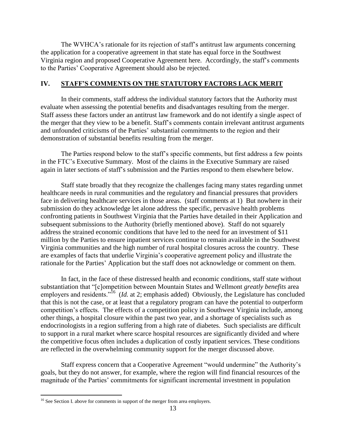The WVHCA's rationale for its rejection of staff's antitrust law arguments concerning the application for a cooperative agreement in that state has equal force in the Southwest Virginia region and proposed Cooperative Agreement here. Accordingly, the staff's comments to the Parties' Cooperative Agreement should also be rejected.

# **IV. STAFF'S COMMENTS ON THE STATUTORY FACTORS LACK MERIT**

In their comments, staff address the individual statutory factors that the Authority must evaluate when assessing the potential benefits and disadvantages resulting from the merger. Staff assess these factors under an antitrust law framework and do not identify a single aspect of the merger that they view to be a benefit. Staff's comments contain irrelevant antitrust arguments and unfounded criticisms of the Parties' substantial commitments to the region and their demonstration of substantial benefits resulting from the merger.

The Parties respond below to the staff's specific comments, but first address a few points in the FTC's Executive Summary. Most of the claims in the Executive Summary are raised again in later sections of staff's submission and the Parties respond to them elsewhere below.

Staff state broadly that they recognize the challenges facing many states regarding unmet healthcare needs in rural communities and the regulatory and financial pressures that providers face in delivering healthcare services in those areas. (staff comments at 1) But nowhere in their submission do they acknowledge let alone address the specific, pervasive health problems confronting patients in Southwest Virginia that the Parties have detailed in their Application and subsequent submissions to the Authority (briefly mentioned above). Staff do not squarely address the strained economic conditions that have led to the need for an investment of \$11 million by the Parties to ensure inpatient services continue to remain available in the Southwest Virginia communities and the high number of rural hospital closures across the country. These are examples of facts that underlie Virginia's cooperative agreement policy and illustrate the rationale for the Parties' Application but the staff does not acknowledge or comment on them.

In fact, in the face of these distressed health and economic conditions, staff state without substantiation that "[c]ompetition between Mountain States and Wellmont *greatly benefits* area employers and residents."<sup>16</sup> (*Id.* at 2; emphasis added) Obviously, the Legislature has concluded that this is not the case, or at least that a regulatory program can have the potential to outperform competition's effects. The effects of a competition policy in Southwest Virginia include, among other things, a hospital closure within the past two year, and a shortage of specialists such as endocrinologists in a region suffering from a high rate of diabetes. Such specialists are difficult to support in a rural market where scarce hospital resources are significantly divided and where the competitive focus often includes a duplication of costly inpatient services. These conditions are reflected in the overwhelming community support for the merger discussed above.

Staff express concern that a Cooperative Agreement "would undermine" the Authority's goals, but they do not answer, for example, where the region will find financial resources of the magnitude of the Parties' commitments for significant incremental investment in population

<sup>&</sup>lt;sup>16</sup> See Section I. above for comments in support of the merger from area employers.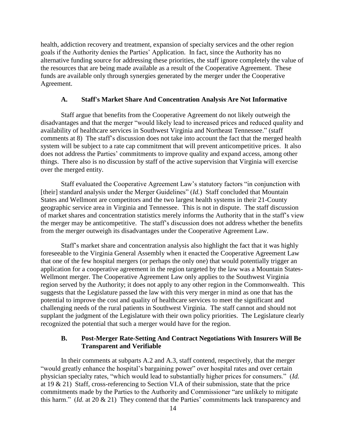health, addiction recovery and treatment, expansion of specialty services and the other region goals if the Authority denies the Parties' Application. In fact, since the Authority has no alternative funding source for addressing these priorities, the staff ignore completely the value of the resources that are being made available as a result of the Cooperative Agreement. These funds are available only through synergies generated by the merger under the Cooperative Agreement.

#### **A. Staff's Market Share And Concentration Analysis Are Not Informative**

Staff argue that benefits from the Cooperative Agreement do not likely outweigh the disadvantages and that the merger "would likely lead to increased prices and reduced quality and availability of healthcare services in Southwest Virginia and Northeast Tennessee." (staff comments at 8) The staff's discussion does not take into account the fact that the merged health system will be subject to a rate cap commitment that will prevent anticompetitive prices. It also does not address the Parties' commitments to improve quality and expand access, among other things. There also is no discussion by staff of the active supervision that Virginia will exercise over the merged entity.

Staff evaluated the Cooperative Agreement Law's statutory factors "in conjunction with [their] standard analysis under the Merger Guidelines" (*Id.*) Staff concluded that Mountain States and Wellmont are competitors and the two largest health systems in their 21-County geographic service area in Virginia and Tennessee. This is not in dispute. The staff discussion of market shares and concentration statistics merely informs the Authority that in the staff's view the merger may be anticompetitive. The staff's discussion does not address whether the benefits from the merger outweigh its disadvantages under the Cooperative Agreement Law.

Staff's market share and concentration analysis also highlight the fact that it was highly foreseeable to the Virginia General Assembly when it enacted the Cooperative Agreement Law that one of the few hospital mergers (or perhaps the only one) that would potentially trigger an application for a cooperative agreement in the region targeted by the law was a Mountain States-Wellmont merger. The Cooperative Agreement Law only applies to the Southwest Virginia region served by the Authority; it does not apply to any other region in the Commonwealth. This suggests that the Legislature passed the law with this very merger in mind as one that has the potential to improve the cost and quality of healthcare services to meet the significant and challenging needs of the rural patients in Southwest Virginia. The staff cannot and should not supplant the judgment of the Legislature with their own policy priorities. The Legislature clearly recognized the potential that such a merger would have for the region.

#### **B. Post-Merger Rate-Setting And Contract Negotiations With Insurers Will Be Transparent and Verifiable**

In their comments at subparts A.2 and A.3, staff contend, respectively, that the merger "would greatly enhance the hospital's bargaining power" over hospital rates and over certain physician specialty rates, "which would lead to substantially higher prices for consumers." (*Id.* at 19 & 21) Staff, cross-referencing to Section VI.A of their submission, state that the price commitments made by the Parties to the Authority and Commissioner "are unlikely to mitigate this harm." (*Id.* at 20 & 21) They contend that the Parties' commitments lack transparency and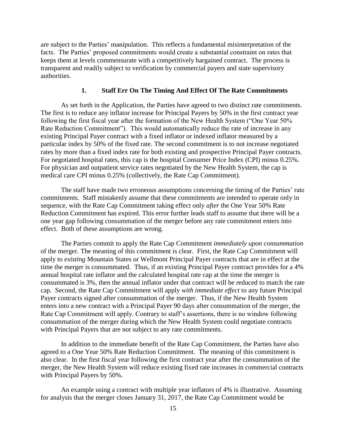are subject to the Parties' manipulation. This reflects a fundamental misinterpretation of the facts. The Parties' proposed commitments would create a substantial constraint on rates that keeps them at levels commensurate with a competitively bargained contract. The process is transparent and readily subject to verification by commercial payers and state supervisory authorities.

#### **1. Staff Err On The Timing And Effect Of The Rate Commitments**

As set forth in the Application, the Parties have agreed to two distinct rate commitments. The first is to reduce any inflator increase for Principal Payers by 50% in the first contract year following the first fiscal year after the formation of the New Health System ("One Year 50% Rate Reduction Commitment"). This would automatically reduce the rate of increase in any existing Principal Payer contract with a fixed inflator or indexed inflator measured by a particular index by 50% of the fixed rate. The second commitment is to not increase negotiated rates by more than a fixed index rate for both existing and prospective Principal Payer contracts. For negotiated hospital rates, this cap is the hospital Consumer Price Index (CPI) minus 0.25%. For physician and outpatient service rates negotiated by the New Health System, the cap is medical care CPI minus 0.25% (collectively, the Rate Cap Commitment).

The staff have made two erroneous assumptions concerning the timing of the Parties' rate commitments. Staff mistakenly assume that these commitments are intended to operate only in sequence, with the Rate Cap Commitment taking effect only *after* the One Year 50% Rate Reduction Commitment has expired. This error further leads staff to assume that there will be a one year gap following consummation of the merger before any rate commitment enters into effect. Both of these assumptions are wrong.

The Parties commit to apply the Rate Cap Commitment *immediately upon consummation*  of the merger. The meaning of this commitment is clear. First, the Rate Cap Commitment will apply to *existing* Mountain States or Wellmont Principal Payer contracts that are in effect at the time the merger is consummated. Thus, if an existing Principal Payer contract provides for a 4% annual hospital rate inflator and the calculated hospital rate cap at the time the merger is consummated is 3%, then the annual inflator under that contract will be reduced to match the rate cap. Second, the Rate Cap Commitment will apply *with immediate effect* to any future Principal Payer contracts signed after consummation of the merger. Thus, if the New Health System enters into a new contract with a Principal Payer 90 days after consummation of the merger, the Rate Cap Commitment will apply. Contrary to staff's assertions, there is no window following consummation of the merger during which the New Health System could negotiate contracts with Principal Payers that are not subject to any rate commitments.

In addition to the immediate benefit of the Rate Cap Commitment, the Parties have also agreed to a One Year 50% Rate Reduction Commitment. The meaning of this commitment is also clear. In the first fiscal year following the first contract year after the consummation of the merger, the New Health System will reduce existing fixed rate increases in commercial contracts with Principal Payers by 50%.

An example using a contract with multiple year inflators of 4% is illustrative. Assuming for analysis that the merger closes January 31, 2017, the Rate Cap Commitment would be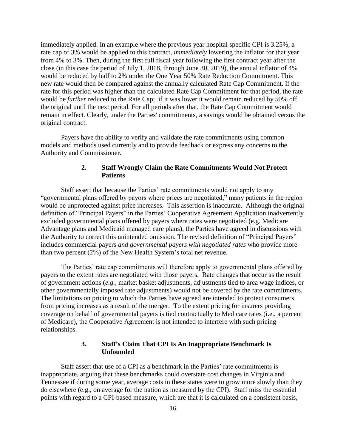immediately applied. In an example where the previous year hospital specific CPI is 3.25%, a rate cap of 3% would be applied to this contract, *immediately* lowering the inflator for that year from 4% to 3%. Then, during the first full fiscal year following the first contract year after the close (in this case the period of July 1, 2018, through June 30, 2019), the annual inflator of 4% would be reduced by half to 2% under the One Year 50% Rate Reduction Commitment. This new rate would then be compared against the annually calculated Rate Cap Commitment. If the rate for this period was higher than the calculated Rate Cap Commitment for that period, the rate would be *further* reduced to the Rate Cap; if it was lower it would remain reduced by 50% off the original until the next period. For all periods after that, the Rate Cap Commitment would remain in effect. Clearly, under the Parties' commitments, a savings would be obtained versus the original contract.

Payers have the ability to verify and validate the rate commitments using common models and methods used currently and to provide feedback or express any concerns to the Authority and Commissioner.

# **2. Staff Wrongly Claim the Rate Commitments Would Not Protect Patients**

Staff assert that because the Parties' rate commitments would not apply to any "governmental plans offered by payors where prices are negotiated," many patients in the region would be unprotected against price increases. This assertion is inaccurate. Although the original definition of "Principal Payers" in the Parties' Cooperative Agreement Application inadvertently excluded governmental plans offered by payers where rates were negotiated (e.g. Medicare Advantage plans and Medicaid managed care plans), the Parties have agreed in discussions with the Authority to correct this unintended omission. The revised definition of "Principal Payers" includes commercial payers *and governmental payers with negotiated rates* who provide more than two percent (2%) of the New Health System's total net revenue.

The Parties' rate cap commitments will therefore apply to governmental plans offered by payers to the extent rates are negotiated with those payers. Rate changes that occur as the result of government actions (*e.g.*, market basket adjustments, adjustments tied to area wage indices, or other governmentally imposed rate adjustments) would not be covered by the rate commitments. The limitations on pricing to which the Parties have agreed are intended to protect consumers from pricing increases as a result of the merger. To the extent pricing for insurers providing coverage on behalf of governmental payers is tied contractually to Medicare rates (i.e., a percent of Medicare), the Cooperative Agreement is not intended to interfere with such pricing relationships.

# **3. Staff's Claim That CPI Is An Inappropriate Benchmark Is Unfounded**

Staff assert that use of a CPI as a benchmark in the Parties' rate commitments is inappropriate, arguing that these benchmarks could overstate cost changes in Virginia and Tennessee if during some year, average costs in these states were to grow more slowly than they do elsewhere (e.g., on average for the nation as measured by the CPI). Staff miss the essential points with regard to a CPI-based measure, which are that it is calculated on a consistent basis,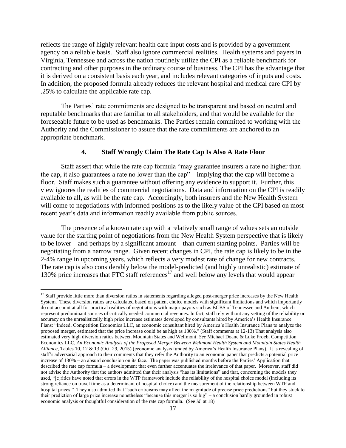reflects the range of highly relevant health care input costs and is provided by a government agency on a reliable basis. Staff also ignore commercial realities. Health systems and payers in Virginia, Tennessee and across the nation routinely utilize the CPI as a reliable benchmark for contracting and other purposes in the ordinary course of business. The CPI has the advantage that it is derived on a consistent basis each year, and includes relevant categories of inputs and costs. In addition, the proposed formula already reduces the relevant hospital and medical care CPI by .25% to calculate the applicable rate cap.

The Parties' rate commitments are designed to be transparent and based on neutral and reputable benchmarks that are familiar to all stakeholders, and that would be available for the foreseeable future to be used as benchmarks. The Parties remain committed to working with the Authority and the Commissioner to assure that the rate commitments are anchored to an appropriate benchmark.

#### **4. Staff Wrongly Claim The Rate Cap Is Also A Rate Floor**

Staff assert that while the rate cap formula "may guarantee insurers a rate no higher than the cap, it also guarantees a rate no lower than the cap" – implying that the cap will become a floor. Staff makes such a guarantee without offering any evidence to support it. Further, this view ignores the realities of commercial negotiations. Data and information on the CPI is readily available to all, as will be the rate cap. Accordingly, both insurers and the New Health System will come to negotiations with informed positions as to the likely value of the CPI based on most recent year's data and information readily available from public sources.

The presence of a known rate cap with a relatively small range of values sets an outside value for the starting point of negotiations from the New Health System perspective that is likely to be lower – and perhaps by a significant amount – than current starting points. Parties will be negotiating from a narrow range. Given recent changes in CPI, the rate cap is likely to be in the 2-4% range in upcoming years, which reflects a very modest rate of change for new contracts. The rate cap is also considerably below the model-predicted (and highly unrealistic) estimate of 130% price increases that FTC staff references<sup>17</sup> and well below any levels that would appear

 $17$  Staff provide little more than diversion ratios in statements regarding alleged post-merger price increases by the New Health System. These diversion ratios are calculated based on patient choice models with significant limitations and which importantly do not account at all for practical realities of negotiations with major payors such as BCBS of Tennessee and Anthem, which represent predominant sources of critically needed commercial revenues. In fact, staff rely without any vetting of the reliability or accuracy on the unrealistically high price increase estimates developed by consultants hired by America's Health Insurance Plans: "Indeed, Competition Economics LLC, an economic consultant hired by America's Health Insurance Plans to analyze the proposed merger, estimated that the price increase could be as high as 130%." (Staff comments at 12-13) That analysis also estimated very high diversion ratios between Mountain States and Wellmont. *See* Michael Doane & Luke Froeb, Competition Economics LLC, *An Economic Analysis of the Proposed Merger Between Wellmont Health System and Mountain States Health Alliance*, Tables 10, 12 & 13 (Oct. 29, 2015) (economic analysis funded by America's Health Insurance Plans). It is revealing of staff's adversarial approach to their comments that they refer the Authority to an economic paper that predicts a potential price increase of 130% – an absurd conclusion on its face. The paper was published months before the Parties' Application that described the rate cap formula – a development that even further accentuates the irrelevance of that paper. Moreover, staff did not advise the Authority that the authors admitted that their analysis "has its limitations" and that, concerning the models they used, "[c]ritics have noted that errors in the WTP framework include the reliability of the hospital choice model (including its strong reliance on travel time as a determinant of hospital choice) and the measurement of the relationship between WTP and hospital prices." They also admitted that "such criticisms may affect the magnitude of precise price predictions" but they stuck to their prediction of large price increase nonetheless "because this merger is so big" – a conclusion hardly grounded in robust economic analysis or thoughtful consideration of the rate cap formula. (See *id*. at 18)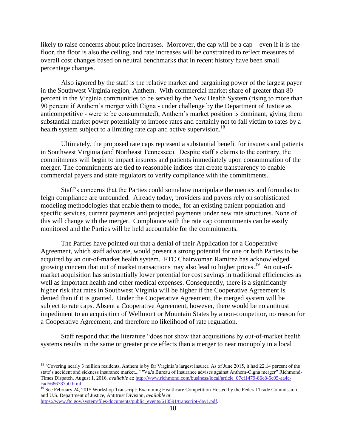likely to raise concerns about price increases. Moreover, the cap will be a cap – even if it is the floor, the floor is also the ceiling, and rate increases will be constrained to reflect measures of overall cost changes based on neutral benchmarks that in recent history have been small percentage changes.

Also ignored by the staff is the relative market and bargaining power of the largest payer in the Southwest Virginia region, Anthem. With commercial market share of greater than 80 percent in the Virginia communities to be served by the New Health System (rising to more than 90 percent if Anthem's merger with Cigna - under challenge by the Department of Justice as anticompetitive - were to be consummated), Anthem's market position is dominant, giving them substantial market power potentially to impose rates and certainly not to fall victim to rates by a health system subject to a limiting rate cap and active supervision.<sup>18</sup>

Ultimately, the proposed rate caps represent a substantial benefit for insurers and patients in Southwest Virginia (and Northeast Tennessee). Despite staff's claims to the contrary, the commitments will begin to impact insurers and patients immediately upon consummation of the merger. The commitments are tied to reasonable indices that create transparency to enable commercial payers and state regulators to verify compliance with the commitments.

Staff's concerns that the Parties could somehow manipulate the metrics and formulas to feign compliance are unfounded. Already today, providers and payers rely on sophisticated modeling methodologies that enable them to model, for an existing patient population and specific services, current payments and projected payments under new rate structures. None of this will change with the merger. Compliance with the rate cap commitments can be easily monitored and the Parties will be held accountable for the commitments.

The Parties have pointed out that a denial of their Application for a Cooperative Agreement, which staff advocate, would present a strong potential for one or both Parties to be acquired by an out-of-market health system. FTC Chairwoman Ramirez has acknowledged growing concern that out of market transactions may also lead to higher prices.<sup>19</sup> An out-ofmarket acquisition has substantially lower potential for cost savings in traditional efficiencies as well as important health and other medical expenses. Consequently, there is a significantly higher risk that rates in Southwest Virginia will be higher if the Cooperative Agreement is denied than if it is granted. Under the Cooperative Agreement, the merged system will be subject to rate caps. Absent a Cooperative Agreement, however, there would be no antitrust impediment to an acquisition of Wellmont or Mountain States by a non-competitor, no reason for a Cooperative Agreement, and therefore no likelihood of rate regulation.

Staff respond that the literature "does not show that acquisitions by out-of-market health systems results in the same or greater price effects than a merger to near monopoly in a local

<sup>&</sup>lt;sup>18</sup> "Covering nearly 3 million residents, Anthem is by far Virginia's largest insurer. As of June 2015, it had 22.14 percent of the state's accident and sickness insurance market..." "Va.'s Bureau of Insurance advises against Anthem-Cigna merger" Richmond-Times Dispatch, August 1, 2016, *available* at: [http://www.richmond.com/business/local/article\\_07cf1479-86c8-5c05-aa4c](http://www.richmond.com/business/local/article_07cf1479-86c8-5c05-aa4c-cad5686787b0.html)[cad5686787b0.html.](http://www.richmond.com/business/local/article_07cf1479-86c8-5c05-aa4c-cad5686787b0.html)

<sup>&</sup>lt;sup>19</sup> See February 24, 2015 Workshop Transcript: Examining Healthcare Competition Hosted by the Federal Trade Commission and U.S. Department of Justice, Antitrust Division, *available at*:

[https://www.ftc.gov/system/files/documents/public\\_events/618591/transcript-day1.pdf.](https://www.ftc.gov/system/files/documents/public_events/618591/transcript-day1.pdf)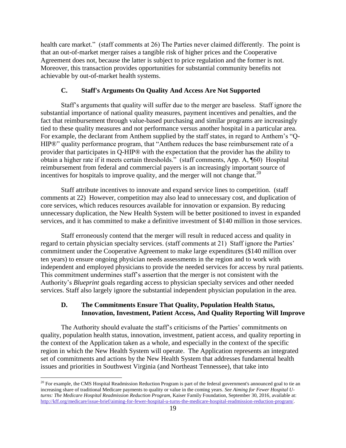health care market." (staff comments at 26) The Parties never claimed differently. The point is that an out-of-market merger raises a tangible risk of higher prices and the Cooperative Agreement does not, because the latter is subject to price regulation and the former is not. Moreover, this transaction provides opportunities for substantial community benefits not achievable by out-of-market health systems.

#### **C. Staff's Arguments On Quality And Access Are Not Supported**

Staff's arguments that quality will suffer due to the merger are baseless. Staff ignore the substantial importance of national quality measures, payment incentives and penalties, and the fact that reimbursement through value-based purchasing and similar programs are increasingly tied to these quality measures and not performance versus another hospital in a particular area. For example, the declarant from Anthem supplied by the staff states, in regard to Anthem's "Q-HIP®" quality performance program, that "Anthem reduces the base reimbursement rate of a provider that participates in Q-HIP® with the expectation that the provider has the ability to obtain a higher rate if it meets certain thresholds." (staff comments, App. A, ¶60) Hospital reimbursement from federal and commercial payers is an increasingly important source of incentives for hospitals to improve quality, and the merger will not change that. $^{20}$ 

Staff attribute incentives to innovate and expand service lines to competition. (staff comments at 22) However, competition may also lead to unnecessary cost, and duplication of core services, which reduces resources available for innovation or expansion. By reducing unnecessary duplication, the New Health System will be better positioned to invest in expanded services, and it has committed to make a definitive investment of \$140 million in those services.

Staff erroneously contend that the merger will result in reduced access and quality in regard to certain physician specialty services. (staff comments at 21) Staff ignore the Parties' commitment under the Cooperative Agreement to make large expenditures (\$140 million over ten years) to ensure ongoing physician needs assessments in the region and to work with independent and employed physicians to provide the needed services for access by rural patients. This commitment undermines staff's assertion that the merger is not consistent with the Authority's *Blueprint* goals regarding access to physician specialty services and other needed services. Staff also largely ignore the substantial independent physician population in the area.

# **D. The Commitments Ensure That Quality, Population Health Status, Innovation, Investment, Patient Access, And Quality Reporting Will Improve**

The Authority should evaluate the staff's criticisms of the Parties' commitments on quality, population health status, innovation, investment, patient access, and quality reporting in the context of the Application taken as a whole, and especially in the context of the specific region in which the New Health System will operate. The Application represents an integrated set of commitments and actions by the New Health System that addresses fundamental health issues and priorities in Southwest Virginia (and Northeast Tennessee), that take into

 $^{20}$  For example, the CMS Hospital Readmission Reduction Program is part of the federal government's announced goal to tie an increasing share of traditional Medicare payments to quality or value in the coming years. *See Aiming for Fewer Hospital Uturns: The Medicare Hospital Readmission Reduction Program*, Kaiser Family Foundation, September 30, 2016, available at: [http://kff.org/medicare/issue-brief/aiming-for-fewer-hospital-u-turns-the-medicare-hospital-readmission-reduction-program/.](http://kff.org/medicare/issue-brief/aiming-for-fewer-hospital-u-turns-the-medicare-hospital-readmission-reduction-program/)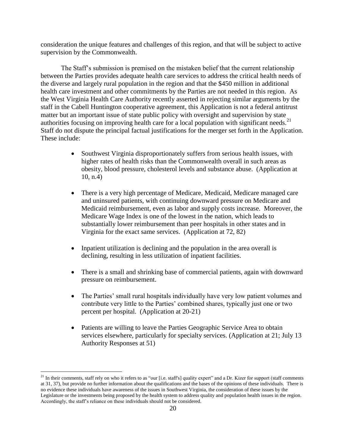consideration the unique features and challenges of this region, and that will be subject to active supervision by the Commonwealth.

The Staff's submission is premised on the mistaken belief that the current relationship between the Parties provides adequate health care services to address the critical health needs of the diverse and largely rural population in the region and that the \$450 million in additional health care investment and other commitments by the Parties are not needed in this region. As the West Virginia Health Care Authority recently asserted in rejecting similar arguments by the staff in the Cabell Huntington cooperative agreement, this Application is not a federal antitrust matter but an important issue of state public policy with oversight and supervision by state authorities focusing on improving health care for a local population with significant needs.<sup>21</sup> Staff do not dispute the principal factual justifications for the merger set forth in the Application. These include:

- Southwest Virginia disproportionately suffers from serious health issues, with higher rates of health risks than the Commonwealth overall in such areas as obesity, blood pressure, cholesterol levels and substance abuse. (Application at 10, n.4)
- There is a very high percentage of Medicare, Medicaid, Medicare managed care and uninsured patients, with continuing downward pressure on Medicare and Medicaid reimbursement, even as labor and supply costs increase. Moreover, the Medicare Wage Index is one of the lowest in the nation, which leads to substantially lower reimbursement than peer hospitals in other states and in Virginia for the exact same services. (Application at 72, 82)
- Inpatient utilization is declining and the population in the area overall is declining, resulting in less utilization of inpatient facilities.
- There is a small and shrinking base of commercial patients, again with downward pressure on reimbursement.
- The Parties' small rural hospitals individually have very low patient volumes and contribute very little to the Parties' combined shares, typically just one or two percent per hospital. (Application at 20-21)
- Patients are willing to leave the Parties Geographic Service Area to obtain services elsewhere, particularly for specialty services. (Application at 21; July 13 Authority Responses at 51)

 $^{21}$  In their comments, staff rely on who it refers to as "our [i.e. staff's] quality expert" and a Dr. Kizer for support (staff comments at 31, 37), but provide no further information about the qualifications and the bases of the opinions of these individuals. There is no evidence these individuals have awareness of the issues in Southwest Virginia, the consideration of these issues by the Legislature or the investments being proposed by the health system to address quality and population health issues in the region. Accordingly, the staff's reliance on these individuals should not be considered.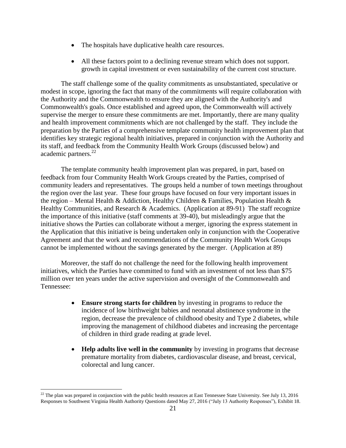- The hospitals have duplicative health care resources.
- All these factors point to a declining revenue stream which does not support. growth in capital investment or even sustainability of the current cost structure.

The staff challenge some of the quality commitments as unsubstantiated, speculative or modest in scope, ignoring the fact that many of the commitments will require collaboration with the Authority and the Commonwealth to ensure they are aligned with the Authority's and Commonwealth's goals. Once established and agreed upon, the Commonwealth will actively supervise the merger to ensure these commitments are met. Importantly, there are many quality and health improvement commitments which are not challenged by the staff. They include the preparation by the Parties of a comprehensive template community health improvement plan that identifies key strategic regional health initiatives, prepared in conjunction with the Authority and its staff, and feedback from the Community Health Work Groups (discussed below) and academic partners. $^{22}$ 

The template community health improvement plan was prepared, in part, based on feedback from four Community Health Work Groups created by the Parties, comprised of community leaders and representatives. The groups held a number of town meetings throughout the region over the last year. These four groups have focused on four very important issues in the region – Mental Health & Addiction, Healthy Children & Families, Population Health & Healthy Communities, and Research & Academics. (Application at 89-91) The staff recognize the importance of this initiative (staff comments at 39-40), but misleadingly argue that the initiative shows the Parties can collaborate without a merger, ignoring the express statement in the Application that this initiative is being undertaken only in conjunction with the Cooperative Agreement and that the work and recommendations of the Community Health Work Groups cannot be implemented without the savings generated by the merger. (Application at 89)

Moreover, the staff do not challenge the need for the following health improvement initiatives, which the Parties have committed to fund with an investment of not less than \$75 million over ten years under the active supervision and oversight of the Commonwealth and Tennessee:

- **Ensure strong starts for children** by investing in programs to reduce the incidence of low birthweight babies and neonatal abstinence syndrome in the region, decrease the prevalence of childhood obesity and Type 2 diabetes, while improving the management of childhood diabetes and increasing the percentage of children in third grade reading at grade level.
- **Help adults live well in the community** by investing in programs that decrease premature mortality from diabetes, cardiovascular disease, and breast, cervical, colorectal and lung cancer.

 $^{22}$  The plan was prepared in conjunction with the public health resources at East Tennessee State University. See July 13, 2016 Responses to Southwest Virginia Health Authority Questions dated May 27, 2016 ("July 13 Authority Responses"), Exhibit 18.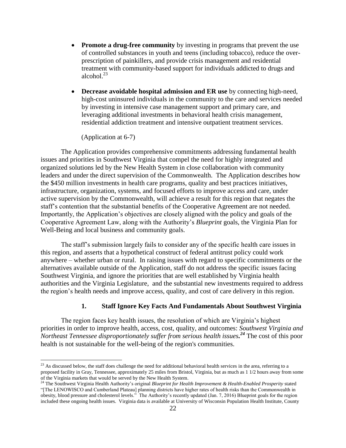- **Promote a drug-free community** by investing in programs that prevent the use of controlled substances in youth and teens (including tobacco), reduce the overprescription of painkillers, and provide crisis management and residential treatment with community-based support for individuals addicted to drugs and alcohol. $^{23}$
- **Decrease avoidable hospital admission and ER use** by connecting high-need, high-cost uninsured individuals in the community to the care and services needed by investing in intensive case management support and primary care, and leveraging additional investments in behavioral health crisis management, residential addiction treatment and intensive outpatient treatment services.

(Application at 6-7)

 $\overline{a}$ 

The Application provides comprehensive commitments addressing fundamental health issues and priorities in Southwest Virginia that compel the need for highly integrated and organized solutions led by the New Health System in close collaboration with community leaders and under the direct supervision of the Commonwealth. The Application describes how the \$450 million investments in health care programs, quality and best practices initiatives, infrastructure, organization, systems, and focused efforts to improve access and care, under active supervision by the Commonwealth, will achieve a result for this region that negates the staff's contention that the substantial benefits of the Cooperative Agreement are not needed. Importantly, the Application's objectives are closely aligned with the policy and goals of the Cooperative Agreement Law, along with the Authority's *Blueprint* goals, the Virginia Plan for Well-Being and local business and community goals.

The staff's submission largely fails to consider any of the specific health care issues in this region, and asserts that a hypothetical construct of federal antitrust policy could work anywhere – whether urban or rural. In raising issues with regard to specific commitments or the alternatives available outside of the Application, staff do not address the specific issues facing Southwest Virginia, and ignore the priorities that are well established by Virginia health authorities and the Virginia Legislature, and the substantial new investments required to address the region's health needs and improve access, quality, and cost of care delivery in this region.

#### **1. Staff Ignore Key Facts And Fundamentals About Southwest Virginia**

The region faces key health issues, the resolution of which are Virginia's highest priorities in order to improve health, access, cost, quality, and outcomes: *Southwest Virginia and Northeast Tennessee disproportionately suffer from serious health issues. <sup>24</sup>* The cost of this poor health is not sustainable for the well-being of the region's communities.

 $23$  As discussed below, the staff does challenge the need for additional behavioral health services in the area, referring to a proposed facility in Gray, Tennessee, approximately 25 miles from Bristol, Virginia, but as much as 1 1/2 hours away from some of the Virginia markets that would be served by the New Health System.

<sup>24</sup> The Southwest Virginia Health Authority's original *Blueprint for Health Improvement & Health-Enabled Prosperity* stated

<sup>&</sup>quot;[The LENOWISCO and Cumberland Plateau] planning districts have higher rates of health risks than the Commonwealth in obesity, blood pressure and cholesterol levels." The Authority's recently updated (Jan. 7, 2016) Blueprint goals for the region included these ongoing health issues. Virginia data is available at University of Wisconsin Population Health Institute, County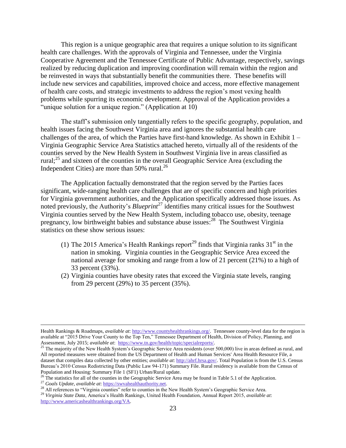This region is a unique geographic area that requires a unique solution to its significant health care challenges. With the approvals of Virginia and Tennessee, under the Virginia Cooperative Agreement and the Tennessee Certificate of Public Advantage, respectively, savings realized by reducing duplication and improving coordination will remain within the region and be reinvested in ways that substantially benefit the communities there. These benefits will include new services and capabilities, improved choice and access, more effective management of health care costs, and strategic investments to address the region's most vexing health problems while spurring its economic development. Approval of the Application provides a "unique solution for a unique region." (Application at 10)

The staff's submission only tangentially refers to the specific geography, population, and health issues facing the Southwest Virginia area and ignores the substantial health care challenges of the area, of which the Parties have first-hand knowledge. As shown in Exhibit  $1 -$ Virginia Geographic Service Area Statistics attached hereto, virtually all of the residents of the counties served by the New Health System in Southwest Virginia live in areas classified as rural;<sup>25</sup> and sixteen of the counties in the overall Geographic Service Area (excluding the Independent Cities) are more than  $50\%$  rural.<sup>26</sup>

The Application factually demonstrated that the region served by the Parties faces significant, wide-ranging health care challenges that are of specific concern and high priorities for Virginia government authorities, and the Application specifically addressed those issues. As noted previously, the Authority's *Blueprint*<sup>27</sup> identifies many critical issues for the Southwest Virginia counties served by the New Health System, including tobacco use, obesity, teenage pregnancy, low birthweight babies and substance abuse issues:<sup>28</sup> The Southwest Virginia statistics on these show serious issues:

- (1) The 2015 America's Health Rankings report<sup>29</sup> finds that Virginia ranks  $31<sup>st</sup>$  in the nation in smoking. Virginia counties in the Geographic Service Area exceed the national average for smoking and range from a low of 21 percent (21%) to a high of 33 percent (33%).
- (2) Virginia counties have obesity rates that exceed the Virginia state levels, ranging from 29 percent (29%) to 35 percent (35%).

Health Rankings & Roadmaps, *available at*[: http://www.countyhealthrankings.org/.](http://www.countyhealthrankings.org/) Tennessee county-level data for the region is available at "2015 Drive Your County to the Top Ten," Tennessee Department of Health, Division of Policy, Planning, and Assessment, July 2015; *available at*: [https://www.tn.gov/health/topic/specialreports/.](https://www.tn.gov/health/topic/specialreports/)

<sup>&</sup>lt;sup>25</sup> The majority of the New Health System's Geographic Service Area residents (over 500,000) live in areas defined as rural, and All reported measures were obtained from the US Department of Health and Human Services' Area Health Resource File, a dataset that compiles data collected by other entities; *available at*: [http://ahrf.hrsa.gov/.](http://ahrf.hrsa.gov/) Total Population is from the U.S. Census Bureau's 2010 Census Redistricting Data (Public Law 94-171) Summary File. Rural residency is available from the Census of Population and Housing: Summary File 1 (SF1) Urban/Rural update.

<sup>&</sup>lt;sup>26</sup> The statistics for all of the counties in the Geographic Service Area may be found in Table 5.1 of the Application.

<sup>27</sup> *Goals Update, available at*[: https://swvahealthauthority.net.](https://swvahealthauthority.net/)

 $^{28}$  All references to "Virginia counties" refer to counties in the New Health System's Geographic Service Area.

<sup>29</sup> *Virginia State Data*, America's Health Rankings, United Health Foundation, Annual Report 2015, *available at*: [http://www.americashealthrankings.org/VA.](http://www.americashealthrankings.org/VA)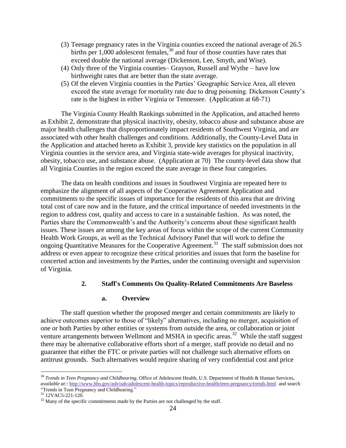- (3) Teenage pregnancy rates in the Virginia counties exceed the national average of 26.5 births per  $1,000$  adolescent females,<sup>30</sup> and four of those counties have rates that exceed double the national average (Dickenson, Lee, Smyth, and Wise).
- (4) Only three of the Virginia counties– Grayson, Russell and Wythe have low birthweight rates that are better than the state average.
- (5) Of the eleven Virginia counties in the Parties' Geographic Service Area, all eleven exceed the state average for mortality rate due to drug poisoning. Dickenson County's rate is the highest in either Virginia or Tennessee. (Application at 68-71)

The Virginia County Health Rankings submitted in the Application, and attached hereto as Exhibit 2, demonstrate that physical inactivity, obesity, tobacco abuse and substance abuse are major health challenges that disproportionately impact residents of Southwest Virginia, and are associated with other health challenges and conditions. Additionally, the County-Level Data in the Application and attached hereto as Exhibit 3, provide key statistics on the population in all Virginia counties in the service area, and Virginia state-wide averages for physical inactivity, obesity, tobacco use, and substance abuse. (Application at 70) The county-level data show that all Virginia Counties in the region exceed the state average in these four categories.

The data on health conditions and issues in Southwest Virginia are repeated here to emphasize the alignment of all aspects of the Cooperative Agreement Application and commitments to the specific issues of importance for the residents of this area that are driving total cost of care now and in the future, and the critical importance of needed investments in the region to address cost, quality and access to care in a sustainable fashion. As was noted, the Parties share the Commonwealth's and the Authority's concerns about these significant health issues. These issues are among the key areas of focus within the scope of the current Community Health Work Groups, as well as the Technical Advisory Panel that will work to define the ongoing Quantitative Measures for the Cooperative Agreement.<sup>31</sup> The staff submission does not address or even appear to recognize these critical priorities and issues that form the baseline for concerted action and investments by the Parties, under the continuing oversight and supervision of Virginia.

# **2. Staff's Comments On Quality-Related Commitments Are Baseless**

#### **a. Overview**

The staff question whether the proposed merger and certain commitments are likely to achieve outcomes superior to those of "likely" alternatives, including no merger, acquisition of one or both Parties by other entities or systems from outside the area, or collaboration or joint venture arrangements between Wellmont and MSHA in specific areas.<sup>32</sup> While the staff suggest there may be alternative collaborative efforts short of a merger, staff provide no detail and no guarantee that either the FTC or private parties will not challenge such alternative efforts on antitrust grounds. Such alternatives would require sharing of very confidential cost and price

<sup>30</sup> *Trends in Teen Pregnancy and Childbearing*, Office of Adolescent Health, U.S. Department of Health & Human Services, *available at::* <http://www.hhs.gov/ash/oah/adolescent-health-topics/reproductive-health/teen-pregnancy/trends.html>and search "Trends in Teen Pregnancy and Childbearing."

 $31$  12VAC5-221-120.

 $32$  Many of the specific commitments made by the Parties are not challenged by the staff.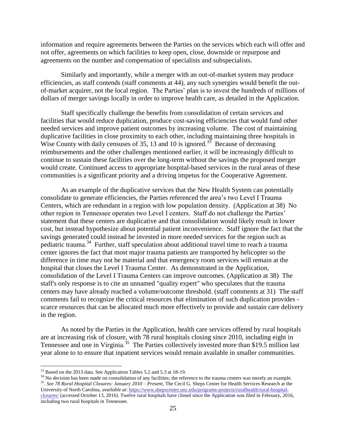information and require agreements between the Parties on the services which each will offer and not offer, agreements on which facilities to keep open, close, downside or repurpose and agreements on the number and compensation of specialists and subspecialists.

Similarly and importantly, while a merger with an out-of-market system may produce efficiencies, as staff contends (staff comments at 44), any such synergies would benefit the outof-market acquirer, not the local region. The Parties' plan is to invest the hundreds of millions of dollars of merger savings locally in order to improve health care, as detailed in the Application.

Staff specifically challenge the benefits from consolidation of certain services and facilities that would reduce duplication, produce cost-saving efficiencies that would fund other needed services and improve patient outcomes by increasing volume. The cost of maintaining duplicative facilities in close proximity to each other, including maintaining three hospitals in Wise County with daily censuses of 35, 13 and 10 is ignored.<sup>33</sup> Because of decreasing reimbursements and the other challenges mentioned earlier, it will be increasingly difficult to continue to sustain these facilities over the long-term without the savings the proposed merger would create. Continued access to appropriate hospital-based services in the rural areas of these communities is a significant priority and a driving impetus for the Cooperative Agreement.

As an example of the duplicative services that the New Health System can potentially consolidate to generate efficiencies, the Parties referenced the area's two Level I Trauma Centers, which are redundant in a region with low population density. (Application at 38) No other region in Tennessee operates two Level I centers. Staff do not challenge the Parties' statement that these centers are duplicative and that consolidation would likely result in lower cost, but instead hypothesize about potential patient inconvenience. Staff ignore the fact that the savings generated could instead be invested in more needed services for the region such as pediatric trauma.<sup>34</sup> Further, staff speculation about additional travel time to reach a trauma center ignores the fact that most major trauma patients are transported by helicopter so the difference in time may not be material and that emergency room services will remain at the hospital that closes the Level I Trauma Center. As demonstrated in the Application, consolidation of the Level I Trauma Centers can improve outcomes. (Application at 38) The staff's only response is to cite an unnamed "quality expert" who speculates that the trauma centers may have already reached a volume/outcome threshold. (staff comments at 31) The staff comments fail to recognize the critical resources that elimination of such duplication provides scarce resources that can be allocated much more effectively to provide and sustain care delivery in the region.

As noted by the Parties in the Application, health care services offered by rural hospitals are at increasing risk of closure, with 78 rural hospitals closing since 2010, including eight in Tennessee and one in Virginia.<sup>35</sup> The Parties collectively invested more than \$19.5 million last year alone to to ensure that inpatient services would remain available in smaller communities.

 $\overline{a}$ 

<sup>34</sup> No decision has been made on consolidation of any facilities; the reference to the trauma centers was merely an example. 35 . *See 78 Rural Hospital Closures: January 2010 – Present*, The Cecil G. Sheps Center for Health Services Research at the University of North Carolina, *available at*[: https://www.shepscenter.unc.edu/programs-projects/ruralhealth/rural-hospital-](https://www.shepscenter.unc.edu/programs-projects/ruralhealth/rural-hospital-closures/)

<sup>&</sup>lt;sup>33</sup> Based on the 2013 data. See Application Tables 5.2 and 5.3 at 18-19.

[closures/](https://www.shepscenter.unc.edu/programs-projects/ruralhealth/rural-hospital-closures/) (accessed October 13, 2016). Twelve rural hospitals have closed since the Application was filed in February, 2016, including two rural hospitals in Tennessee.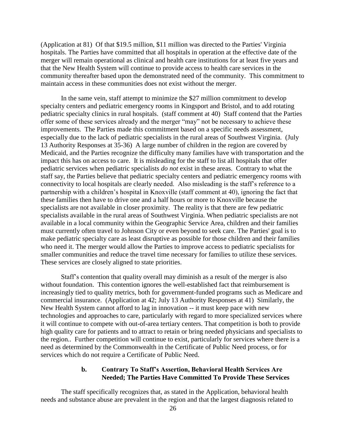(Application at 81) Of that \$19.5 million, \$11 million was directed to the Parties' Virginia hospitals. The Parties have committed that all hospitals in operation at the effective date of the merger will remain operational as clinical and health care institutions for at least five years and that the New Health System will continue to provide access to health care services in the community thereafter based upon the demonstrated need of the community. This commitment to maintain access in these communities does not exist without the merger.

In the same vein, staff attempt to minimize the \$27 million commitment to develop specialty centers and pediatric emergency rooms in Kingsport and Bristol, and to add rotating pediatric specialty clinics in rural hospitals. (staff comment at 40) Staff contend that the Parties offer some of these services already and the merger "may" not be necessary to achieve these improvements. The Parties made this commitment based on a specific needs assessment, especially due to the lack of pediatric specialists in the rural areas of Southwest Virginia. (July 13 Authority Responses at 35-36) A large number of children in the region are covered by Medicaid, and the Parties recognize the difficulty many families have with transportation and the impact this has on access to care. It is misleading for the staff to list all hospitals that offer pediatric services when pediatric specialists *do not* exist in these areas. Contrary to what the staff say, the Parties believe that pediatric specialty centers and pediatric emergency rooms with connectivity to local hospitals are clearly needed. Also misleading is the staff's reference to a partnership with a children's hospital in Knoxville (staff comment at 40), ignoring the fact that these families then have to drive one and a half hours or more to Knoxville because the specialists are not available in closer proximity. The reality is that there are few pediatric specialists available in the rural areas of Southwest Virginia. When pediatric specialists are not available in a local community within the Geographic Service Area, children and their families must currently often travel to Johnson City or even beyond to seek care. The Parties' goal is to make pediatric specialty care as least disruptive as possible for those children and their families who need it. The merger would allow the Parties to improve access to pediatric specialists for smaller communities and reduce the travel time necessary for families to utilize these services. These services are closely aligned to state priorities.

Staff's contention that quality overall may diminish as a result of the merger is also without foundation. This contention ignores the well-established fact that reimbursement is increasingly tied to quality metrics, both for government-funded programs such as Medicare and commercial insurance. (Application at 42; July 13 Authority Responses at 41) Similarly, the New Health System cannot afford to lag in innovation -- it must keep pace with new technologies and approaches to care, particularly with regard to more specialized services where it will continue to compete with out-of-area tertiary centers. That competition is both to provide high quality care for patients and to attract to retain or bring needed physicians and specialists to the region.. Further competition will continue to exist, particularly for services where there is a need as determined by the Commonwealth in the Certificate of Public Need process, or for services which do not require a Certificate of Public Need.

# **b. Contrary To Staff's Assertion, Behavioral Health Services Are Needed; The Parties Have Committed To Provide These Services**

The staff specifically recognizes that, as stated in the Application, behavioral health needs and substance abuse are prevalent in the region and that the largest diagnosis related to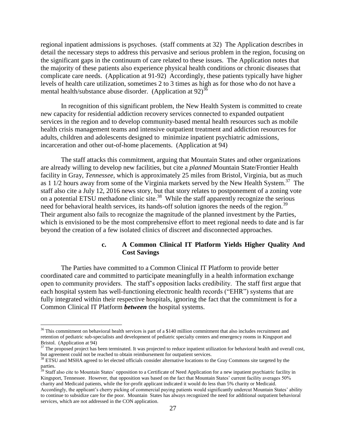regional inpatient admissions is psychoses. (staff comments at 32) The Application describes in detail the necessary steps to address this pervasive and serious problem in the region, focusing on the significant gaps in the continuum of care related to these issues. The Application notes that the majority of these patients also experience physical health conditions or chronic diseases that complicate care needs. (Application at 91-92) Accordingly, these patients typically have higher levels of health care utilization, sometimes 2 to 3 times as high as for those who do not have a mental health/substance abuse disorder. (Application at 92)<sup>36</sup>

In recognition of this significant problem, the New Health System is committed to create new capacity for residential addiction recovery services connected to expanded outpatient services in the region and to develop community-based mental health resources such as mobile health crisis management teams and intensive outpatient treatment and addiction resources for adults, children and adolescents designed to minimize inpatient psychiatric admissions, incarceration and other out-of-home placements. (Application at 94)

The staff attacks this commitment, arguing that Mountain States and other organizations are already willing to develop new facilities, but cite a *planned* Mountain State/Frontier Health facility in Gray, *Tennessee*, which is approximately 25 miles from Bristol, Virginia, but as much as 1 1/2 hours away from some of the Virginia markets served by the New Health System.<sup>37</sup> The staff also cite a July 12, 2016 news story, but that story relates to postponement of a zoning vote on a potential ETSU methadone clinic site.<sup>38</sup> While the staff apparently recognize the serious need for behavioral health services, its hands-off solution ignores the needs of the region.<sup>39</sup> Their argument also fails to recognize the magnitude of the planned investment by the Parties, which is envisioned to be the most comprehensive effort to meet regional needs to date and is far beyond the creation of a few isolated clinics of discreet and disconnected approaches.

#### **c. A Common Clinical IT Platform Yields Higher Quality And Cost Savings**

The Parties have committed to a Common Clinical IT Platform to provide better coordinated care and committed to participate meaningfully in a health information exchange open to community providers. The staff's opposition lacks credibility. The staff first argue that each hospital system has well-functioning electronic health records ("EHR") systems that are fully integrated within their respective hospitals, ignoring the fact that the commitment is for a Common Clinical IT Platform *between* the hospital systems.

 $36$  This commitment on behavioral health services is part of a \$140 million commitment that also includes recruitment and retention of pediatric sub-specialists and development of pediatric specialty centers and emergency rooms in Kingsport and Bristol. (Application at 94)

<sup>&</sup>lt;sup>37</sup> The proposed project has been terminated. It was projected to reduce inpatient utilization for behavioral health and overall cost, but agreement could not be reached to obtain reimbursement for outpatient services.

<sup>&</sup>lt;sup>38</sup> ETSU and MSHA agreed to let elected officials consider alternative locations to the Gray Commons site targeted by the parties.

<sup>&</sup>lt;sup>39</sup> Staff also cite to Mountain States' opposition to a Certificate of Need Application for a new inpatient psychiatric facility in Kingsport, Tennessee. However, that opposition was based on the fact that Mountain States' current facility averages 50% charity and Medicaid patients, while the for-profit applicant indicated it would do less than 5% charity or Medicaid. Accordingly, the applicant's cherry picking of commercial paying patients would significantly undercut Mountain States' ability to continue to subsidize care for the poor. Mountain States has always recognized the need for additional outpatient behavioral services, which are not addressed in the CON application.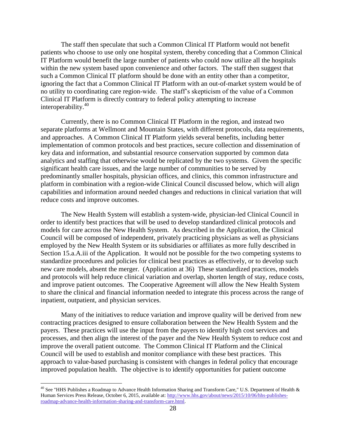The staff then speculate that such a Common Clinical IT Platform would not benefit patients who choose to use only one hospital system, thereby conceding that a Common Clinical IT Platform would benefit the large number of patients who could now utilize all the hospitals within the new system based upon convenience and other factors. The staff then suggest that such a Common Clinical IT platform should be done with an entity other than a competitor, ignoring the fact that a Common Clinical IT Platform with an out-of-market system would be of no utility to coordinating care region-wide. The staff's skepticism of the value of a Common Clinical IT Platform is directly contrary to federal policy attempting to increase interoperability.<sup>40</sup>

Currently, there is no Common Clinical IT Platform in the region, and instead two separate platforms at Wellmont and Mountain States, with different protocols, data requirements, and approaches. A Common Clinical IT Platform yields several benefits, including better implementation of common protocols and best practices, secure collection and dissemination of key data and information, and substantial resource conservation supported by common data analytics and staffing that otherwise would be replicated by the two systems. Given the specific significant health care issues, and the large number of communities to be served by predominantly smaller hospitals, physician offices, and clinics, this common infrastructure and platform in combination with a region-wide Clinical Council discussed below, which will align capabilities and information around needed changes and reductions in clinical variation that will reduce costs and improve outcomes.

The New Health System will establish a system-wide, physician-led Clinical Council in order to identify best practices that will be used to develop standardized clinical protocols and models for care across the New Health System. As described in the Application, the Clinical Council will be composed of independent, privately practicing physicians as well as physicians employed by the New Health System or its subsidiaries or affiliates as more fully described in Section 15.a.A.iii of the Application. It would not be possible for the two competing systems to standardize procedures and policies for clinical best practices as effectively, or to develop such new care models, absent the merger. (Application at 36) These standardized practices, models and protocols will help reduce clinical variation and overlap, shorten length of stay, reduce costs, and improve patient outcomes. The Cooperative Agreement will allow the New Health System to share the clinical and financial information needed to integrate this process across the range of inpatient, outpatient, and physician services.

Many of the initiatives to reduce variation and improve quality will be derived from new contracting practices designed to ensure collaboration between the New Health System and the payers. These practices will use the input from the payers to identify high cost services and processes, and then align the interest of the payer and the New Health System to reduce cost and improve the overall patient outcome. The Common Clinical IT Platform and the Clinical Council will be used to establish and monitor compliance with these best practices. This approach to value-based purchasing is consistent with changes in federal policy that encourage improved population health. The objective is to identify opportunities for patient outcome

<sup>&</sup>lt;sup>40</sup> See "HHS Publishes a Roadmap to Advance Health Information Sharing and Transform Care," U.S. Department of Health & Human Services Press Release, October 6, 2015, available at: [http://www.hhs.gov/about/news/2015/10/06/hhs-publishes](http://www.hhs.gov/about/news/2015/10/06/hhs-publishes-roadmap-advance-health-information-sharing-and-transform-care.html)[roadmap-advance-health-information-sharing-and-transform-care.html.](http://www.hhs.gov/about/news/2015/10/06/hhs-publishes-roadmap-advance-health-information-sharing-and-transform-care.html)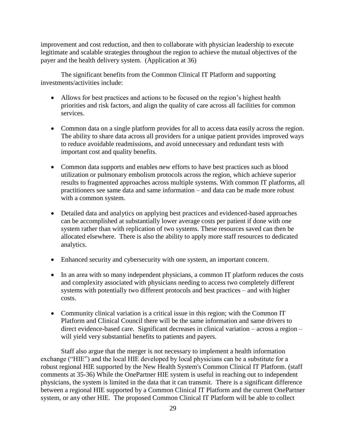improvement and cost reduction, and then to collaborate with physician leadership to execute legitimate and scalable strategies throughout the region to achieve the mutual objectives of the payer and the health delivery system. (Application at 36)

The significant benefits from the Common Clinical IT Platform and supporting investments/activities include:

- Allows for best practices and actions to be focused on the region's highest health priorities and risk factors, and align the quality of care across all facilities for common services.
- Common data on a single platform provides for all to access data easily across the region. The ability to share data across all providers for a unique patient provides improved ways to reduce avoidable readmissions, and avoid unnecessary and redundant tests with important cost and quality benefits.
- Common data supports and enables new efforts to have best practices such as blood utilization or pulmonary embolism protocols across the region, which achieve superior results to fragmented approaches across multiple systems. With common IT platforms, all practitioners see same data and same information – and data can be made more robust with a common system.
- Detailed data and analytics on applying best practices and evidenced-based approaches can be accomplished at substantially lower average costs per patient if done with one system rather than with replication of two systems. These resources saved can then be allocated elsewhere. There is also the ability to apply more staff resources to dedicated analytics.
- Enhanced security and cybersecurity with one system, an important concern.
- In an area with so many independent physicians, a common IT platform reduces the costs and complexity associated with physicians needing to access two completely different systems with potentially two different protocols and best practices – and with higher costs.
- Community clinical variation is a critical issue in this region; with the Common IT Platform and Clinical Council there will be the same information and same drivers to direct evidence-based care. Significant decreases in clinical variation – across a region – will yield very substantial benefits to patients and payers.

Staff also argue that the merger is not necessary to implement a health information exchange ("HIE") and the local HIE developed by local physicians can be a substitute for a robust regional HIE supported by the New Health System's Common Clinical IT Platform. (staff comments at 35-36) While the OnePartner HIE system is useful in reaching out to independent physicians, the system is limited in the data that it can transmit. There is a significant difference between a regional HIE supported by a Common Clinical IT Platform and the current OnePartner system, or any other HIE. The proposed Common Clinical IT Platform will be able to collect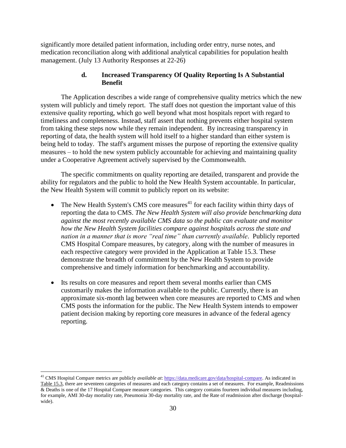significantly more detailed patient information, including order entry, nurse notes, and medication reconciliation along with additional analytical capabilities for population health management. (July 13 Authority Responses at 22-26)

# **d. Increased Transparency Of Quality Reporting Is A Substantial Benefit**

The Application describes a wide range of comprehensive quality metrics which the new system will publicly and timely report. The staff does not question the important value of this extensive quality reporting, which go well beyond what most hospitals report with regard to timeliness and completeness. Instead, staff assert that nothing prevents either hospital system from taking these steps now while they remain independent. By increasing transparency in reporting of data, the health system will hold itself to a higher standard than either system is being held to today. The staff's argument misses the purpose of reporting the extensive quality measures – to hold the new system publicly accountable for achieving and maintaining quality under a Cooperative Agreement actively supervised by the Commonwealth.

The specific commitments on quality reporting are detailed, transparent and provide the ability for regulators and the public to hold the New Health System accountable. In particular, the New Health System will commit to publicly report on its website:

- The New Health System's CMS core measures $41$  for each facility within thirty days of reporting the data to CMS. *The New Health System will also provide benchmarking data against the most recently available CMS data so the public can evaluate and monitor how the New Health System facilities compare against hospitals across the state and nation in a manner that is more "real time" than currently available*. Publicly reported CMS Hospital Compare measures, by category, along with the number of measures in each respective category were provided in the Application at Table 15.3. These demonstrate the breadth of commitment by the New Health System to provide comprehensive and timely information for benchmarking and accountability.
- Its results on core measures and report them several months earlier than CMS customarily makes the information available to the public. Currently, there is an approximate six-month lag between when core measures are reported to CMS and when CMS posts the information for the public. The New Health System intends to empower patient decision making by reporting core measures in advance of the federal agency reporting.

<sup>41</sup> CMS Hospital Compare metrics are publicly *available at*[: https://data.medicare.gov/data/hospital-compare.](https://data.medicare.gov/data/hospital-compare) As indicated in Table 15.3, there are seventeen categories of measures and each category contains a set of measures. For example, Readmissions & Deaths is one of the 17 Hospital Compare measure categories. This category contains fourteen individual measures including, for example, AMI 30-day mortality rate, Pneumonia 30-day mortality rate, and the Rate of readmission after discharge (hospitalwide).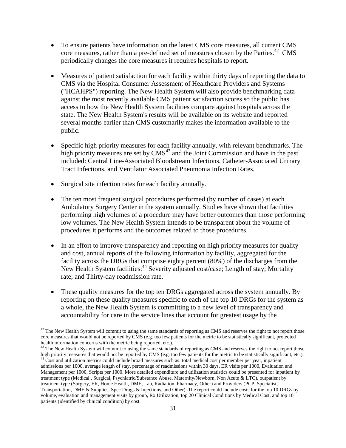- To ensure patients have information on the latest CMS core measures, all current CMS core measures, rather than a pre-defined set of measures chosen by the Parties.<sup>42</sup> CMS periodically changes the core measures it requires hospitals to report.
- Measures of patient satisfaction for each facility within thirty days of reporting the data to CMS via the Hospital Consumer Assessment of Healthcare Providers and Systems ("HCAHPS") reporting. The New Health System will also provide benchmarking data against the most recently available CMS patient satisfaction scores so the public has access to how the New Health System facilities compare against hospitals across the state. The New Health System's results will be available on its website and reported several months earlier than CMS customarily makes the information available to the public.
- Specific high priority measures for each facility annually, with relevant benchmarks. The high priority measures are set by  $CMS<sup>43</sup>$  and the Joint Commission and have in the past included: Central Line-Associated Bloodstream Infections, Catheter-Associated Urinary Tract Infections, and Ventilator Associated Pneumonia Infection Rates.
- Surgical site infection rates for each facility annually.

- The ten most frequent surgical procedures performed (by number of cases) at each Ambulatory Surgery Center in the system annually. Studies have shown that facilities performing high volumes of a procedure may have better outcomes than those performing low volumes. The New Health System intends to be transparent about the volume of procedures it performs and the outcomes related to those procedures.
- In an effort to improve transparency and reporting on high priority measures for quality and cost, annual reports of the following information by facility, aggregated for the facility across the DRGs that comprise eighty percent (80%) of the discharges from the New Health System facilities:<sup>44</sup> Severity adjusted cost/case; Length of stay; Mortality rate; and Thirty-day readmission rate.
- These quality measures for the top ten DRGs aggregated across the system annually. By reporting on these quality measures specific to each of the top 10 DRGs for the system as a whole, the New Health System is committing to a new level of transparency and accountability for care in the service lines that account for greatest usage by the

 $42$  The New Health System will commit to using the same standards of reporting as CMS and reserves the right to not report those core measures that would not be reported by CMS (e.g. too few patients for the metric to be statistically significant, protected health information concerns with the metric being reported, etc.).

<sup>&</sup>lt;sup>43</sup> The New Health System will commit to using the same standards of reporting as CMS and reserves the right to not report those high priority measures that would not be reported by CMS (e.g. too few patients for the metric to be statistically significant, etc.).  $44$  Cost and utilization metrics could include broad measures such as: total medical cost per member per year, inpatient

admissions per 1000, average length of stay, percentage of readmissions within 30 days, ER visits per 1000, Evaluation and Management per 1000, Scripts per 1000. More detailed expenditure and utilization statistics could be presented for inpatient by treatment type (Medical , Surgical, Psychiatric/Substance Abuse, Maternity/Newborn, Non Acute & LTC), outpatient by treatment type (Surgery, ER, Home Health, DME, Lab, Radiation, Pharmacy, Other) and Providers (PCP, Specialist, Transportation, DME & Supplies, Spec Drugs & Injections, and Other). The report could include costs for the top 10 DRGs by volume, evaluation and management visits by group, Rx Utilization, top 20 Clinical Conditions by Medical Cost, and top 10 patients (identified by clinical condition) by cost.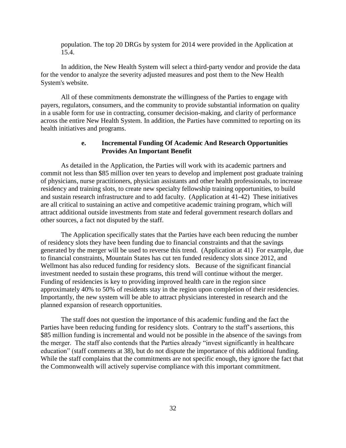population. The top 20 DRGs by system for 2014 were provided in the Application at 15.4.

In addition, the New Health System will select a third-party vendor and provide the data for the vendor to analyze the severity adjusted measures and post them to the New Health System's website.

All of these commitments demonstrate the willingness of the Parties to engage with payers, regulators, consumers, and the community to provide substantial information on quality in a usable form for use in contracting, consumer decision-making, and clarity of performance across the entire New Health System. In addition, the Parties have committed to reporting on its health initiatives and programs.

#### **e. Incremental Funding Of Academic And Research Opportunities Provides An Important Benefit**

As detailed in the Application, the Parties will work with its academic partners and commit not less than \$85 million over ten years to develop and implement post graduate training of physicians, nurse practitioners, physician assistants and other health professionals, to increase residency and training slots, to create new specialty fellowship training opportunities, to build and sustain research infrastructure and to add faculty. (Application at 41-42) These initiatives are all critical to sustaining an active and competitive academic training program, which will attract additional outside investments from state and federal government research dollars and other sources, a fact not disputed by the staff.

The Application specifically states that the Parties have each been reducing the number of residency slots they have been funding due to financial constraints and that the savings generated by the merger will be used to reverse this trend. (Application at 41) For example, due to financial constraints, Mountain States has cut ten funded residency slots since 2012, and Wellmont has also reduced funding for residency slots. Because of the significant financial investment needed to sustain these programs, this trend will continue without the merger. Funding of residencies is key to providing improved health care in the region since approximately 40% to 50% of residents stay in the region upon completion of their residencies. Importantly, the new system will be able to attract physicians interested in research and the planned expansion of research opportunities.

The staff does not question the importance of this academic funding and the fact the Parties have been reducing funding for residency slots. Contrary to the staff's assertions, this \$85 million funding is incremental and would not be possible in the absence of the savings from the merger. The staff also contends that the Parties already "invest significantly in healthcare education" (staff comments at 38), but do not dispute the importance of this additional funding. While the staff complains that the commitments are not specific enough, they ignore the fact that the Commonwealth will actively supervise compliance with this important commitment.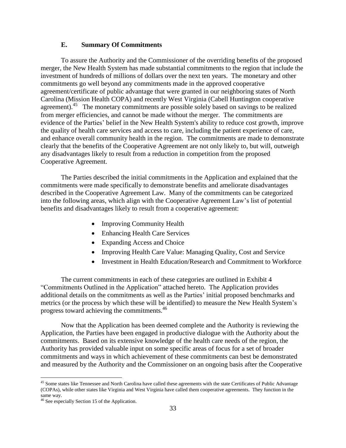#### **E. Summary Of Commitments**

To assure the Authority and the Commissioner of the overriding benefits of the proposed merger, the New Health System has made substantial commitments to the region that include the investment of hundreds of millions of dollars over the next ten years. The monetary and other commitments go well beyond any commitments made in the approved cooperative agreement/certificate of public advantage that were granted in our neighboring states of North Carolina (Mission Health COPA) and recently West Virginia (Cabell Huntington cooperative agreement).<sup>45</sup> The monetary commitments are possible solely based on savings to be realized from merger efficiencies, and cannot be made without the merger. The commitments are evidence of the Parties' belief in the New Health System's ability to reduce cost growth, improve the quality of health care services and access to care, including the patient experience of care, and enhance overall community health in the region. The commitments are made to demonstrate clearly that the benefits of the Cooperative Agreement are not only likely to, but will, outweigh any disadvantages likely to result from a reduction in competition from the proposed Cooperative Agreement.

The Parties described the initial commitments in the Application and explained that the commitments were made specifically to demonstrate benefits and ameliorate disadvantages described in the Cooperative Agreement Law. Many of the commitments can be categorized into the following areas, which align with the Cooperative Agreement Law's list of potential benefits and disadvantages likely to result from a cooperative agreement:

- Improving Community Health
- Enhancing Health Care Services
- Expanding Access and Choice
- Improving Health Care Value: Managing Quality, Cost and Service
- Investment in Health Education/Research and Commitment to Workforce

The current commitments in each of these categories are outlined in Exhibit 4 "Commitments Outlined in the Application" attached hereto. The Application provides additional details on the commitments as well as the Parties' initial proposed benchmarks and metrics (or the process by which these will be identified) to measure the New Health System's progress toward achieving the commitments.<sup>46</sup>

Now that the Application has been deemed complete and the Authority is reviewing the Application, the Parties have been engaged in productive dialogue with the Authority about the commitments. Based on its extensive knowledge of the health care needs of the region, the Authority has provided valuable input on some specific areas of focus for a set of broader commitments and ways in which achievement of these commitments can best be demonstrated and measured by the Authority and the Commissioner on an ongoing basis after the Cooperative

<sup>&</sup>lt;sup>45</sup> Some states like Tennessee and North Carolina have called these agreements with the state Certificates of Public Advantage (COPAs), while other states like Virginia and West Virginia have called them cooperative agreements. They function in the same way.

<sup>46</sup> See especially Section 15 of the Application.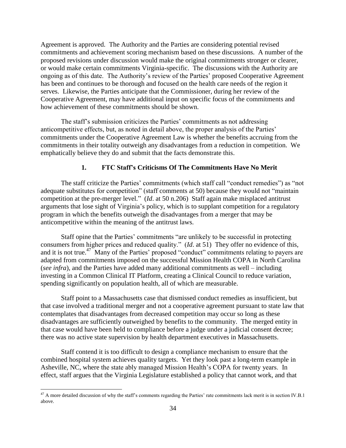Agreement is approved. The Authority and the Parties are considering potential revised commitments and achievement scoring mechanism based on these discussions. A number of the proposed revisions under discussion would make the original commitments stronger or clearer, or would make certain commitments Virginia-specific. The discussions with the Authority are ongoing as of this date. The Authority's review of the Parties' proposed Cooperative Agreement has been and continues to be thorough and focused on the health care needs of the region it serves. Likewise, the Parties anticipate that the Commissioner, during her review of the Cooperative Agreement, may have additional input on specific focus of the commitments and how achievement of these commitments should be shown.

The staff's submission criticizes the Parties' commitments as not addressing anticompetitive effects, but, as noted in detail above, the proper analysis of the Parties' commitments under the Cooperative Agreement Law is whether the benefits accruing from the commitments in their totality outweigh any disadvantages from a reduction in competition. We emphatically believe they do and submit that the facts demonstrate this.

# **1. FTC Staff's Criticisms Of The Commitments Have No Merit**

The staff criticize the Parties' commitments (which staff call "conduct remedies") as "not adequate substitutes for competition" (staff comments at 50) because they would not "maintain competition at the pre-merger level." (*Id*. at 50 n.206) Staff again make misplaced antitrust arguments that lose sight of Virginia's policy, which is to supplant competition for a regulatory program in which the benefits outweigh the disadvantages from a merger that may be anticompetitive within the meaning of the antitrust laws.

Staff opine that the Parties' commitments "are unlikely to be successful in protecting consumers from higher prices and reduced quality." (*Id*. at 51) They offer no evidence of this, and it is not true.<sup>47</sup> Many of the Parties' proposed "conduct" commitments relating to payers are adapted from commitments imposed on the successful Mission Health COPA in North Carolina (*see infra*), and the Parties have added many additional commitments as well – including investing in a Common Clinical IT Platform, creating a Clinical Council to reduce variation, spending significantly on population health, all of which are measurable.

Staff point to a Massachusetts case that dismissed conduct remedies as insufficient, but that case involved a traditional merger and not a cooperative agreement pursuant to state law that contemplates that disadvantages from decreased competition may occur so long as these disadvantages are sufficiently outweighed by benefits to the community. The merged entity in that case would have been held to compliance before a judge under a judicial consent decree; there was no active state supervision by health department executives in Massachusetts.

Staff contend it is too difficult to design a compliance mechanism to ensure that the combined hospital system achieves quality targets. Yet they look past a long-term example in Asheville, NC, where the state ably managed Mission Health's COPA for twenty years. In effect, staff argues that the Virginia Legislature established a policy that cannot work, and that

 $^{47}$  A more detailed discussion of why the staff's comments regarding the Parties' rate commitments lack merit is in section IV.B.1 above.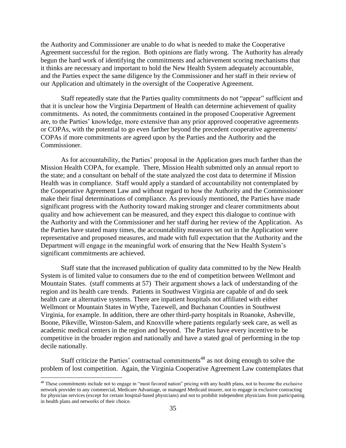the Authority and Commissioner are unable to do what is needed to make the Cooperative Agreement successful for the region. Both opinions are flatly wrong. The Authority has already begun the hard work of identifying the commitments and achievement scoring mechanisms that it thinks are necessary and important to hold the New Health System adequately accountable, and the Parties expect the same diligence by the Commissioner and her staff in their review of our Application and ultimately in the oversight of the Cooperative Agreement.

Staff repeatedly state that the Parties quality commitments do not "appear" sufficient and that it is unclear how the Virginia Department of Health can determine achievement of quality commitments. As noted, the commitments contained in the proposed Cooperative Agreement are, to the Parties' knowledge, more extensive than any prior approved cooperative agreements or COPAs, with the potential to go even farther beyond the precedent cooperative agreements/ COPAs if more commitments are agreed upon by the Parties and the Authority and the Commissioner.

As for accountability, the Parties' proposal in the Application goes much farther than the Mission Health COPA, for example. There, Mission Health submitted only an annual report to the state; and a consultant on behalf of the state analyzed the cost data to determine if Mission Health was in compliance. Staff would apply a standard of accountability not contemplated by the Cooperative Agreement Law and without regard to how the Authority and the Commissioner make their final determinations of compliance. As previously mentioned, the Parties have made significant progress with the Authority toward making stronger and clearer commitments about quality and how achievement can be measured, and they expect this dialogue to continue with the Authority and with the Commissioner and her staff during her review of the Application. As the Parties have stated many times, the accountability measures set out in the Application were representative and proposed measures, and made with full expectation that the Authority and the Department will engage in the meaningful work of ensuring that the New Health System's significant commitments are achieved.

Staff state that the increased publication of quality data committed to by the New Health System is of limited value to consumers due to the end of competition between Wellmont and Mountain States. (staff comments at 57) Their argument shows a lack of understanding of the region and its health care trends. Patients in Southwest Virginia are capable of and do seek health care at alternative systems. There are inpatient hospitals not affiliated with either Wellmont or Mountain States in Wythe, Tazewell, and Buchanan Counties in Southwest Virginia, for example. In addition, there are other third-party hospitals in Roanoke, Asheville, Boone, Pikeville, Winston-Salem, and Knoxville where patients regularly seek care, as well as academic medical centers in the region and beyond. The Parties have every incentive to be competitive in the broader region and nationally and have a stated goal of performing in the top decile nationally.

Staff criticize the Parties' contractual commitments<sup>48</sup> as not doing enough to solve the problem of lost competition. Again, the Virginia Cooperative Agreement Law contemplates that

<sup>&</sup>lt;sup>48</sup> These commitments include not to engage in "most favored nation" pricing with any health plans, not to become the exclusive network provider to any commercial, Medicare Advantage, or managed Medicaid insurer, not to engage in exclusive contracting for physician services (except for certain hospital-based physicians) and not to prohibit independent physicians from participating in health plans and networks of their choice.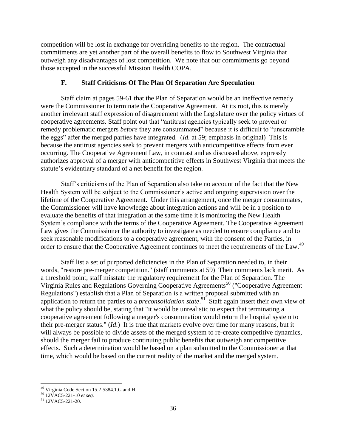competition will be lost in exchange for overriding benefits to the region. The contractual commitments are yet another part of the overall benefits to flow to Southwest Virginia that outweigh any disadvantages of lost competition. We note that our commitments go beyond those accepted in the successful Mission Health COPA.

#### **F. Staff Criticisms Of The Plan Of Separation Are Speculation**

Staff claim at pages 59-61 that the Plan of Separation would be an ineffective remedy were the Commissioner to terminate the Cooperative Agreement. At its root, this is merely another irrelevant staff expression of disagreement with the Legislature over the policy virtues of cooperative agreements. Staff point out that "antitrust agencies typically seek to prevent or remedy problematic mergers *before* they are consummated" because it is difficult to "unscramble the eggs" after the merged parties have integrated. (*Id.* at 59; emphasis in original) This is because the antitrust agencies seek to prevent mergers with anticompetitive effects from ever occurring. The Cooperative Agreement Law, in contrast and as discussed above, expressly authorizes approval of a merger with anticompetitive effects in Southwest Virginia that meets the statute's evidentiary standard of a net benefit for the region.

Staff's criticisms of the Plan of Separation also take no account of the fact that the New Health System will be subject to the Commissioner's active and ongoing supervision over the lifetime of the Cooperative Agreement. Under this arrangement, once the merger consummates, the Commissioner will have knowledge about integration actions and will be in a position to evaluate the benefits of that integration at the same time it is monitoring the New Health System's compliance with the terms of the Cooperative Agreement. The Cooperative Agreement Law gives the Commissioner the authority to investigate as needed to ensure compliance and to seek reasonable modifications to a cooperative agreement, with the consent of the Parties, in order to ensure that the Cooperative Agreement continues to meet the requirements of the Law.<sup>49</sup>

Staff list a set of purported deficiencies in the Plan of Separation needed to, in their words, "restore pre-merger competition." (staff comments at 59) Their comments lack merit. As a threshold point, staff misstate the regulatory requirement for the Plan of Separation. The Virginia Rules and Regulations Governing Cooperative Agreements<sup>50</sup> ("Cooperative Agreement Regulations") establish that a Plan of Separation is a written proposal submitted with an application to return the parties to a *preconsolidation state*.<sup>51</sup> Staff again insert their own view of what the policy should be, stating that "it would be unrealistic to expect that terminating a cooperative agreement following a merger's consummation would return the hospital system to their pre-merger status." (*Id*.) It is true that markets evolve over time for many reasons, but it will always be possible to divide assets of the merged system to re-create competitive dynamics, should the merger fail to produce continuing public benefits that outweigh anticompetitive effects. Such a determination would be based on a plan submitted to the Commissioner at that time, which would be based on the current reality of the market and the merged system.

<sup>&</sup>lt;sup>49</sup> Virginia Code Section 15.2-5384.1.G and H.

<sup>50</sup> 12VAC5-221-10 *et seq.*

<sup>51</sup> 12VAC5-221-20.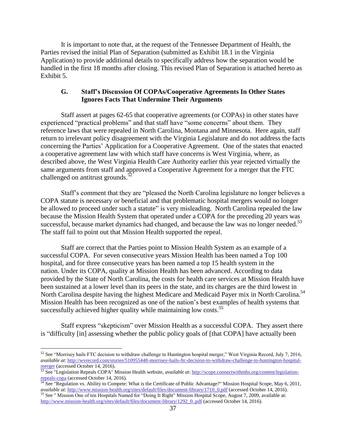It is important to note that, at the request of the Tennessee Department of Health, the Parties revised the initial Plan of Separation (submitted as Exhibit 18.1 in the Virginia Application) to provide additional details to specifically address how the separation would be handled in the first 18 months after closing. This revised Plan of Separation is attached hereto as Exhibit 5.

#### **G. Staff's Discussion Of COPAs/Cooperative Agreements In Other States Ignores Facts That Undermine Their Arguments**

Staff assert at pages 62-65 that cooperative agreements (or COPAs) in other states have experienced "practical problems" and that staff have "some concerns" about them. They reference laws that were repealed in North Carolina, Montana and Minnesota. Here again, staff return to irrelevant policy disagreement with the Virginia Legislature and do not address the facts concerning the Parties' Application for a Cooperative Agreement. One of the states that enacted a cooperative agreement law with which staff have concerns is West Virginia, where, as described above, the West Virginia Health Care Authority earlier this year rejected virtually the same arguments from staff and approved a Cooperative Agreement for a merger that the FTC challenged on antitrust grounds.<sup>5</sup>

Staff's comment that they are "pleased the North Carolina legislature no longer believes a COPA statute is necessary or beneficial and that problematic hospital mergers would no longer be allowed to proceed under such a statute" is very misleading. North Carolina repealed the law because the Mission Health System that operated under a COPA for the preceding 20 years was successful, because market dynamics had changed, and because the law was no longer needed.<sup>53</sup> The staff fail to point out that Mission Health supported the repeal.

Staff are correct that the Parties point to Mission Health System as an example of a successful COPA. For seven consecutive years Mission Health has been named a Top 100 hospital, and for three consecutive years has been named a top 15 health system in the nation. Under its COPA, quality at Mission Health has been advanced. According to data provided by the State of North Carolina, the costs for health care services at Mission Health have been sustained at a lower level than its peers in the state, and its charges are the third lowest in North Carolina despite having the highest Medicare and Medicaid Payer mix in North Carolina.<sup>54</sup> Mission Health has been recognized as one of the nation's best examples of health systems that successfully achieved higher quality while maintaining low costs.<sup>55</sup>

Staff express "skepticism" over Mission Health as a successful COPA. They assert there is "difficulty [in] assessing whether the public policy goals of [that COPA] have actually been

 $52$  See "Morrisey hails FTC decision to withdraw challenge to Huntington hospital merger," West Virginia Record, July 7, 2016, *available at*[: http://wvrecord.com/stories/510955448-morrisey-hails-ftc-decision-to-withdraw-challenge-to-huntington-hospital](http://wvrecord.com/stories/510955448-morrisey-hails-ftc-decision-to-withdraw-challenge-to-huntington-hospital-merger)[merger](http://wvrecord.com/stories/510955448-morrisey-hails-ftc-decision-to-withdraw-challenge-to-huntington-hospital-merger) (accessed October 14, 2016).

<sup>53</sup> See "Legislation Repeals COPA" Mission Health website, *available a*t[: http://scope.connectwithmhs.org/content/legislation](http://scope.connectwithmhs.org/content/legislation-repeals-copa)[repeals-copa](http://scope.connectwithmhs.org/content/legislation-repeals-copa) (accessed October 14, 2016).

 $54$  See "Regulation vs. Ability to Compete: What is the Certificate of Public Advantage?" Mission Hospital Scope, May 6, 2011, *available at*[: http://www.mission-health.org/sites/default/files/document-library/1710\\_0.pdf](http://www.mission-health.org/sites/default/files/document-library/1710_0.pdf) (accessed October 14, 2016).

<sup>&</sup>lt;sup>55</sup> See " Mission One of ten Hospitals Named for "Doing It Right" Mission Hospital Scope, August 7, 2009, available at: [http://www.mission-health.org/sites/default/files/document-library/1292\\_0..pdf](http://www.mission-health.org/sites/default/files/document-library/1292_0..pdf) (accessed October 14, 2016).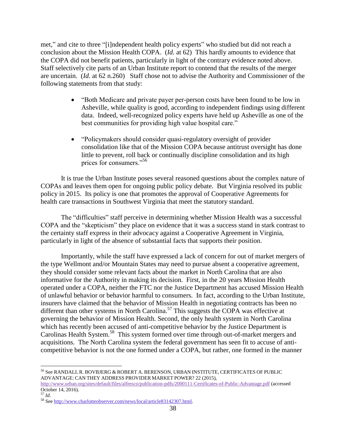met," and cite to three "[i]ndependent health policy experts" who studied but did not reach a conclusion about the Mission Health COPA. (*Id.* at 62) This hardly amounts to evidence that the COPA did not benefit patients, particularly in light of the contrary evidence noted above. Staff selectively cite parts of an Urban Institute report to contend that the results of the merger are uncertain. (*Id.* at 62 n.260) Staff chose not to advise the Authority and Commissioner of the following statements from that study:

- "Both Medicare and private payer per-person costs have been found to be low in Asheville, while quality is good, according to independent findings using different data. Indeed, well-recognized policy experts have held up Asheville as one of the best communities for providing high value hospital care."
- "Policymakers should consider quasi-regulatory oversight of provider consolidation like that of the Mission COPA because antitrust oversight has done little to prevent, roll back or continually discipline consolidation and its high prices for consumers."<sup>56</sup>

It is true the Urban Institute poses several reasoned questions about the complex nature of COPAs and leaves them open for ongoing public policy debate. But Virginia resolved its public policy in 2015. Its policy is one that promotes the approval of Cooperative Agreements for health care transactions in Southwest Virginia that meet the statutory standard.

The "difficulties" staff perceive in determining whether Mission Health was a successful COPA and the "skepticism" they place on evidence that it was a success stand in stark contrast to the certainty staff express in their advocacy against a Cooperative Agreement in Virginia, particularly in light of the absence of substantial facts that supports their position.

Importantly, while the staff have expressed a lack of concern for out of market mergers of the type Wellmont and/or Mountain States may need to pursue absent a cooperative agreement, they should consider some relevant facts about the market in North Carolina that are also informative for the Authority in making its decision. First, in the 20 years Mission Health operated under a COPA, neither the FTC nor the Justice Department has accused Mission Health of unlawful behavior or behavior harmful to consumers. In fact, according to the Urban Institute, insurers have claimed that the behavior of Mission Health in negotiating contracts has been no different than other systems in North Carolina.<sup>57</sup> This suggests the COPA was effective at governing the behavior of Mission Health. Second, the only health system in North Carolina which has recently been accused of anti-competitive behavior by the Justice Department is Carolinas Health System.<sup>58</sup> This system formed over time through out-of-market mergers and acquisitions. The North Carolina system the federal government has seen fit to accuse of anticompetitive behavior is not the one formed under a COPA, but rather, one formed in the manner

<sup>56</sup> See RANDALL R. BOVBJERG & ROBERT A. BERENSON, URBAN INSTITUTE, CERTIFICATES OF PUBLIC ADVANTAGE: CAN THEY ADDRESS PROVIDER MARKET POWER? 22 (2015),

<http://www.urban.org/sites/default/files/alfresco/publication-pdfs/2000111-Certificates-of-Public-Advantage.pdf> (accessed October 14, 2016). <sup>57</sup> *Id*.

<sup>58</sup> Se[e http://www.charlotteobserver.com/news/local/article83142307.html.](http://www.charlotteobserver.com/news/local/article83142307.html)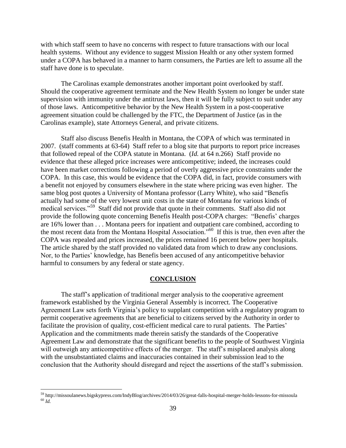with which staff seem to have no concerns with respect to future transactions with our local health systems. Without any evidence to suggest Mission Health or any other system formed under a COPA has behaved in a manner to harm consumers, the Parties are left to assume all the staff have done is to speculate.

The Carolinas example demonstrates another important point overlooked by staff. Should the cooperative agreement terminate and the New Health System no longer be under state supervision with immunity under the antitrust laws, then it will be fully subject to suit under any of those laws. Anticompetitive behavior by the New Health System in a post-cooperative agreement situation could be challenged by the FTC, the Department of Justice (as in the Carolinas example), state Attorneys General, and private citizens.

Staff also discuss Benefis Health in Montana, the COPA of which was terminated in 2007. (staff comments at 63-64) Staff refer to a blog site that purports to report price increases that followed repeal of the COPA statute in Montana. (*Id.* at 64 n.266) Staff provide no evidence that these alleged price increases were anticompetitive; indeed, the increases could have been market corrections following a period of overly aggressive price constraints under the COPA. In this case, this would be evidence that the COPA did, in fact, provide consumers with a benefit not enjoyed by consumers elsewhere in the state where pricing was even higher. The same blog post quotes a University of Montana professor (Larry White), who said "Benefis actually had some of the very lowest unit costs in the state of Montana for various kinds of medical services."<sup>59</sup> Staff did not provide that quote in their comments. Staff also did not provide the following quote concerning Benefis Health post-COPA charges: "Benefis' charges are 16% lower than . . . Montana peers for inpatient and outpatient care combined, according to the most recent data from the Montana Hospital Association."<sup>60</sup> If this is true, then even after the COPA was repealed and prices increased, the prices remained 16 percent below peer hospitals. The article shared by the staff provided no validated data from which to draw any conclusions. Nor, to the Parties' knowledge, has Benefis been accused of any anticompetitive behavior harmful to consumers by any federal or state agency.

#### **CONCLUSION**

The staff's application of traditional merger analysis to the cooperative agreement framework established by the Virginia General Assembly is incorrect. The Cooperative Agreement Law sets forth Virginia's policy to supplant competition with a regulatory program to permit cooperative agreements that are beneficial to citizens served by the Authority in order to facilitate the provision of quality, cost-efficient medical care to rural patients. The Parties' Application and the commitments made therein satisfy the standards of the Cooperative Agreement Law and demonstrate that the significant benefits to the people of Southwest Virginia will outweigh any anticompetitive effects of the merger. The staff's misplaced analysis along with the unsubstantiated claims and inaccuracies contained in their submission lead to the conclusion that the Authority should disregard and reject the assertions of the staff's submission.

<sup>59</sup> http://missoulanews.bigskypress.com/IndyBlog/archives/2014/03/26/great-falls-hospital-merger-holds-lessons-for-missoula <sup>60</sup> *Id.*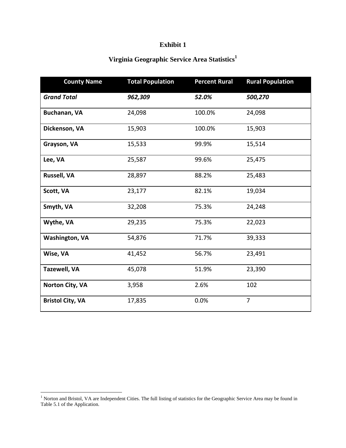# **Exhibit 1**

# **Virginia Geographic Service Area Statistics<sup>1</sup>**

| <b>County Name</b>      | <b>Total Population</b> | <b>Percent Rural</b> | <b>Rural Population</b> |  |
|-------------------------|-------------------------|----------------------|-------------------------|--|
| <b>Grand Total</b>      | 962,309                 | 52.0%                | 500,270                 |  |
| Buchanan, VA            | 24,098                  | 100.0%               | 24,098                  |  |
| Dickenson, VA           | 15,903                  | 100.0%               | 15,903                  |  |
| Grayson, VA             | 15,533                  | 99.9%                | 15,514                  |  |
| Lee, VA                 | 25,587                  | 99.6%                | 25,475                  |  |
| <b>Russell, VA</b>      | 28,897                  | 88.2%                | 25,483                  |  |
| Scott, VA               | 23,177                  | 82.1%                | 19,034                  |  |
| Smyth, VA               | 32,208                  | 75.3%                | 24,248                  |  |
| Wythe, VA               | 29,235                  | 75.3%                | 22,023                  |  |
| <b>Washington, VA</b>   | 54,876                  | 71.7%                | 39,333                  |  |
| Wise, VA                | 41,452                  | 56.7%                | 23,491                  |  |
| <b>Tazewell, VA</b>     | 45,078                  | 51.9%                | 23,390                  |  |
| Norton City, VA         | 3,958                   | 2.6%                 | 102                     |  |
| <b>Bristol City, VA</b> | 17,835                  | 0.0%                 | $\overline{7}$          |  |

<sup>&</sup>lt;sup>1</sup> Norton and Bristol, VA are Independent Cities. The full listing of statistics for the Geographic Service Area may be found in Table 5.1 of the Application.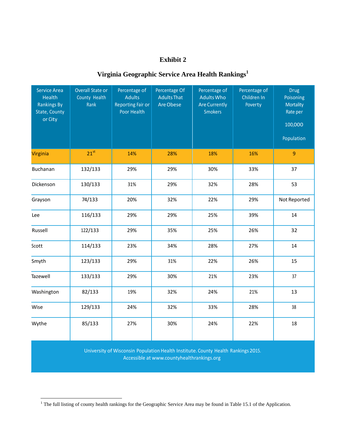# **Exhibit 2**

# **Virginia Geographic Service Area Health Rankings<sup>1</sup>**

| <b>Service Area</b><br><b>Health</b><br><b>Rankings By</b><br>State, County<br>or City | Overall State or<br>County Health<br>Rank | Percentage of<br><b>Adults</b><br><b>Reporting Fair or</b><br>Poor Health | Percentage Of<br><b>Adults That</b><br>Are Obese | Percentage of<br><b>Adults Who</b><br><b>Are Currently</b><br><b>Smokers</b> | Percentage of<br>Children In<br>Poverty | <b>Drug</b><br>Poisoning<br><b>Mortality</b><br>Rate per<br>100,000<br>Population |
|----------------------------------------------------------------------------------------|-------------------------------------------|---------------------------------------------------------------------------|--------------------------------------------------|------------------------------------------------------------------------------|-----------------------------------------|-----------------------------------------------------------------------------------|
| Virginia                                                                               | $21^{st}$                                 | 14%                                                                       | 28%                                              | 18%                                                                          | 16%                                     | $\boldsymbol{9}$                                                                  |
| <b>Buchanan</b>                                                                        | 132/133                                   | 29%                                                                       | 29%                                              | 30%                                                                          | 33%                                     | 37                                                                                |
| Dickenson                                                                              | 130/133                                   | 31%                                                                       | 29%                                              | 32%                                                                          | 28%                                     | 53                                                                                |
| Grayson                                                                                | 74/133                                    | 20%                                                                       | 32%                                              | 22%                                                                          | 29%                                     | Not Reported                                                                      |
| Lee                                                                                    | 116/133                                   | 29%                                                                       | 29%                                              | 25%                                                                          | 39%                                     | 14                                                                                |
| Russell                                                                                | 122/133                                   | 29%                                                                       | 35%                                              | 25%                                                                          | 26%                                     | 32                                                                                |
| Scott                                                                                  | 114/133                                   | 23%                                                                       | 34%                                              | 28%                                                                          | 27%                                     | 14                                                                                |
| Smyth                                                                                  | 123/133                                   | 29%                                                                       | 31%                                              | 22%                                                                          | 26%                                     | 15                                                                                |
| Tazewell                                                                               | 133/133                                   | 29%                                                                       | 30%                                              | 21%                                                                          | 23%                                     | 37                                                                                |
| Washington                                                                             | 82/133                                    | 19%                                                                       | 32%                                              | 24%                                                                          | 21%                                     | 13                                                                                |
| Wise                                                                                   | 129/133                                   | 24%                                                                       | 32%                                              | 33%                                                                          | 28%                                     | 38                                                                                |
| Wythe                                                                                  | 85/133                                    | 27%                                                                       | 30%                                              | 24%                                                                          | 22%                                     | 18                                                                                |

University of Wisconsin Population Health Institute.County Health Rankings 2015. Accessible at www.countyhealthrankings.org

<sup>&</sup>lt;sup>1</sup> The full listing of county health rankings for the Geographic Service Area may be found in Table 15.1 of the Application.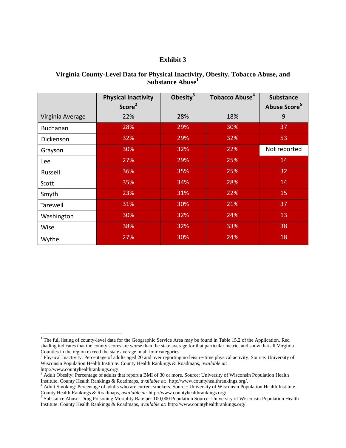#### **Exhibit 3**

#### **Virginia County-Level Data for Physical Inactivity, Obesity, Tobacco Abuse, and Substance Abuse<sup>1</sup>**

|                  | <b>Physical Inactivity</b><br>Score <sup>2</sup> | Obesity $3$ | Tobacco Abuse <sup>4</sup> | <b>Substance</b><br>Abuse Score <sup>5</sup> |
|------------------|--------------------------------------------------|-------------|----------------------------|----------------------------------------------|
| Virginia Average | 22%                                              | 28%         | 18%                        | 9                                            |
| Buchanan         | 28%                                              | 29%         | 30%                        | 37                                           |
| Dickenson        | 32%                                              | 29%         | 32%                        | 53                                           |
| Grayson          | 30%                                              | 32%         | 22%                        | Not reported                                 |
| Lee              | 27%                                              | 29%         | 25%                        | 14                                           |
| Russell          | 36%                                              | 35%         | 25%                        | 32                                           |
| Scott            | 35%                                              | 34%         | 28%                        | 14                                           |
| Smyth            | 23%                                              | 31%         | 22%                        | 15                                           |
| Tazewell         | 31%                                              | 30%         | 21%                        | 37                                           |
| Washington       | 30%                                              | 32%         | 24%                        | 13                                           |
| Wise             | 38%                                              | 32%         | 33%                        | 38                                           |
| Wythe            | 27%                                              | 30%         | 24%                        | 18                                           |

 $1$  The full listing of county-level data for the Geographic Service Area may be found in Table 15.2 of the Application. Red shading indicates that the county scores are worse than the state average for that particular metric, and show that all Virginia Counties in the region exceed the state average in all four categories.

<sup>&</sup>lt;sup>2</sup> Physical Inactivity: Percentage of adults aged 20 and over reporting no leisure-time physical activity. Source: University of Wisconsin Population Health Institute. County Health Rankings & Roadmaps, *available at:* http://www.countyhealthrankings.org/.

<sup>&</sup>lt;sup>3</sup> Adult Obesity: Percentage of adults that report a BMI of 30 or more. Source: University of Wisconsin Population Health Institute. County Health Rankings & Roadmaps, *available at:* http://www.countyhealthrankings.org/.

<sup>4</sup> Adult Smoking: Percentage of adults who are current smokers. Source: University of Wisconsin Population Health Institute. County Health Rankings & Roadmaps, *available at:* http://www.countyhealthrankings.org/. 5 Substance Abuse: Drug Poisoning Mortality Rate per 100,000 Population Source: University of Wisconsin Population Health

Institute. County Health Rankings & Roadmaps, *available at:* http://www.countyhealthrankings.org/.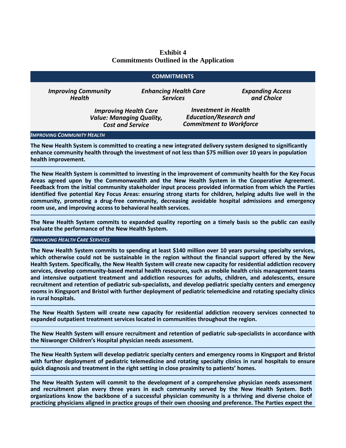#### **Exhibit 4 Commitments Outlined in the Application**

#### **COMMITMENTS**

*Improving Community Health*

*Enhancing Health Care Services*

*Expanding Access and Choice*

*Improving Health Care Value: Managing Quality, Cost and Service*

*Investment in Health Education/Research and Commitment to Workforce*

#### *IMPROVING COMMUNITY HEALTH*

**The New Health System is committed to creating a new integrated delivery system designed to significantly enhance community health through the investment of not less than \$75 million over 10 years in population health improvement.**

**The New Health System is committed to investing in the improvement of community health for the Key Focus Areas agreed upon by the Commonwealth and the New Health System in the Cooperative Agreement. Feedback from the initial community stakeholder input process provided information from which the Parties identified five potential Key Focus Areas: ensuring strong starts for children, helping adults live well in the community, promoting a drug-free community, decreasing avoidable hospital admissions and emergency room use, and improving access to behavioral health services.**

**The New Health System commits to expanded quality reporting on a timely basis so the public can easily evaluate the performance of the New Health System.** 

#### *ENHANCING HEALTH CARE SERVICES*

**The New Health System commits to spending at least \$140 million over 10 years pursuing specialty services, which otherwise could not be sustainable in the region without the financial support offered by the New Health System. Specifically, the New Health System will create new capacity for residential addiction recovery services, develop community-based mental health resources, such as mobile health crisis management teams and intensive outpatient treatment and addiction resources for adults, children, and adolescents, ensure recruitment and retention of pediatric sub-specialists, and develop pediatric specialty centers and emergency rooms in Kingsport and Bristol with further deployment of pediatric telemedicine and rotating specialty clinics in rural hospitals.**

**The New Health System will create new capacity for residential addiction recovery services connected to expanded outpatient treatment services located in communities throughout the region.** 

**The New Health System will ensure recruitment and retention of pediatric sub-specialists in accordance with the Niswonger Children's Hospital physician needs assessment.** 

**The New Health System will develop pediatric specialty centers and emergency rooms in Kingsport and Bristol with further deployment of pediatric telemedicine and rotating specialty clinics in rural hospitals to ensure quick diagnosis and treatment in the right setting in close proximity to patients' homes.**

**The New Health System will commit to the development of a comprehensive physician needs assessment and recruitment plan every three years in each community served by the New Health System. Both organizations know the backbone of a successful physician community is a thriving and diverse choice of practicing physicians aligned in practice groups of their own choosing and preference. The Parties expect the**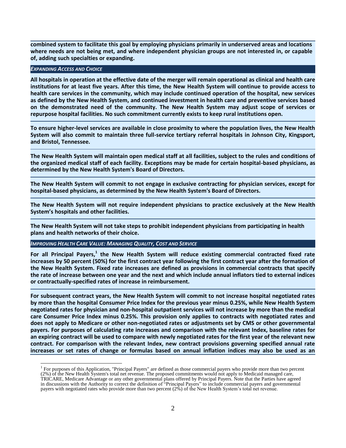**combined system to facilitate this goal by employing physicians primarily in underserved areas and locations where needs are not being met, and where independent physician groups are not interested in, or capable of, adding such specialties or expanding.**

#### *EXPANDING ACCESS AND CHOICE*

 $\overline{1}$ 

**All hospitals in operation at the effective date of the merger will remain operational as clinical and health care institutions for at least five years. After this time, the New Health System will continue to provide access to health care services in the community, which may include continued operation of the hospital, new services as defined by the New Health System, and continued investment in health care and preventive services based on the demonstrated need of the community. The New Health System may adjust scope of services or repurpose hospital facilities. No such commitment currently exists to keep rural institutions open.** 

**To ensure higher-level services are available in close proximity to where the population lives, the New Health System will also commit to maintain three full-service tertiary referral hospitals in Johnson City, Kingsport, and Bristol, Tennessee.**

**The New Health System will maintain open medical staff at all facilities, subject to the rules and conditions of the organized medical staff of each facility. Exceptions may be made for certain hospital-based physicians, as determined by the New Health System's Board of Directors.**

**The New Health System will commit to not engage in exclusive contracting for physician services, except for hospital-based physicians, as determined by the New Health System's Board of Directors.**

**The New Health System will not require independent physicians to practice exclusively at the New Health System's hospitals and other facilities.**

**The New Health System will not take steps to prohibit independent physicians from participating in health plans and health networks of their choice.**

*IMPROVING HEALTH CARE VALUE: MANAGING QUALITY, COST AND SERVICE*

For all Principal Payers,<sup>1</sup> the New Health System will reduce existing commercial contracted fixed rate **increases by 50 percent (50%) for the first contract year following the first contract year after the formation of the New Health System. Fixed rate increases are defined as provisions in commercial contracts that specify the rate of increase between one year and the next and which include annual inflators tied to external indices or contractually-specified rates of increase in reimbursement.**

**For subsequent contract years, the New Health System will commit to not increase hospital negotiated rates by more than the hospital Consumer Price Index for the previous year minus 0.25%, while New Health System negotiated rates for physician and non-hospital outpatient services will not increase by more than the medical care Consumer Price Index minus 0.25%. This provision only applies to contracts with negotiated rates and does not apply to Medicare or other non-negotiated rates or adjustments set by CMS or other governmental payers. For purposes of calculating rate increases and comparison with the relevant Index, baseline rates for an expiring contract will be used to compare with newly negotiated rates for the first year of the relevant new contract. For comparison with the relevant Index, new contract provisions governing specified annual rate increases or set rates of change or formulas based on annual inflation indices may also be used as an** 

<sup>&</sup>lt;sup>1</sup> For purposes of this Application, "Principal Payers" are defined as those commercial payers who provide more than two percent (2%) of the New Health System's total net revenue. The proposed commitments would not apply to Medicaid managed care, TRICARE, Medicare Advantage or any other governmental plans offered by Principal Payers. Note that the Parties have agreed in discussions with the Authority to correct the definition of "Principal Payers" to include commercial payers and governmental payers with negotiated rates who provide more than two percent (2%) of the New Health System's total net revenue.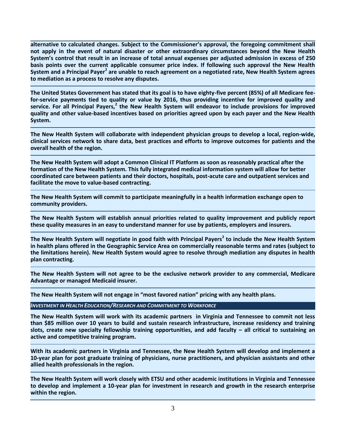**alternative to calculated changes. Subject to the Commissioner's approval, the foregoing commitment shall not apply in the event of natural disaster or other extraordinary circumstances beyond the New Health System's control that result in an increase of total annual expenses per adjusted admission in excess of 250 basis points over the current applicable consumer price index. If following such approval the New Health**  System and a Principal Payer<sup>2</sup> are unable to reach agreement on a negotiated rate, New Health System agrees **to mediation as a process to resolve any disputes.**

**The United States Government has stated that its goal is to have eighty-five percent (85%) of all Medicare feefor-service payments tied to quality or value by 2016, thus providing incentive for improved quality and service. For all Principal Payers,<sup>2</sup> the New Health System will endeavor to include provisions for improved quality and other value-based incentives based on priorities agreed upon by each payer and the New Health System.** 

**The New Health System will collaborate with independent physician groups to develop a local, region-wide, clinical services network to share data, best practices and efforts to improve outcomes for patients and the overall health of the region.**

**The New Health System will adopt a Common Clinical IT Platform as soon as reasonably practical after the formation of the New Health System. This fully integrated medical information system will allow for better coordinated care between patients and their doctors, hospitals, post-acute care and outpatient services and facilitate the move to value-based contracting.**

**The New Health System will commit to participate meaningfully in a health information exchange open to community providers.**

**The New Health System will establish annual priorities related to quality improvement and publicly report these quality measures in an easy to understand manner for use by patients, employers and insurers.**

**The New Health System will negotiate in good faith with Principal Payers<sup>2</sup> to include the New Health System in health plans offered in the Geographic Service Area on commercially reasonable terms and rates (subject to the limitations herein). New Health System would agree to resolve through mediation any disputes in health plan contracting.** 

**The New Health System will not agree to be the exclusive network provider to any commercial, Medicare Advantage or managed Medicaid insurer.**

**The New Health System will not engage in "most favored nation" pricing with any health plans.**

*INVESTMENT IN HEALTH EDUCATION/RESEARCH AND COMMITMENT TO WORKFORCE*

**The New Health System will work with its academic partners in Virginia and Tennessee to commit not less than \$85 million over 10 years to build and sustain research infrastructure, increase residency and training slots, create new specialty fellowship training opportunities, and add faculty – all critical to sustaining an active and competitive training program.**

**With its academic partners in Virginia and Tennessee, the New Health System will develop and implement a 10-year plan for post graduate training of physicians, nurse practitioners, and physician assistants and other allied health professionals in the region.**

**The New Health System will work closely with ETSU and other academic institutions in Virginia and Tennessee to develop and implement a 10-year plan for investment in research and growth in the research enterprise within the region.**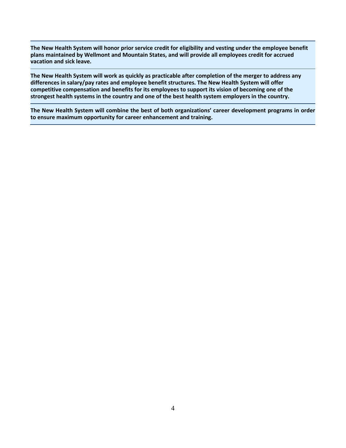**The New Health System will honor prior service credit for eligibility and vesting under the employee benefit plans maintained by Wellmont and Mountain States, and will provide all employees credit for accrued vacation and sick leave.** 

**The New Health System will work as quickly as practicable after completion of the merger to address any differences in salary/pay rates and employee benefit structures. The New Health System will offer competitive compensation and benefits for its employees to support its vision of becoming one of the strongest health systems in the country and one of the best health system employers in the country.**

**The New Health System will combine the best of both organizations' career development programs in order to ensure maximum opportunity for career enhancement and training.**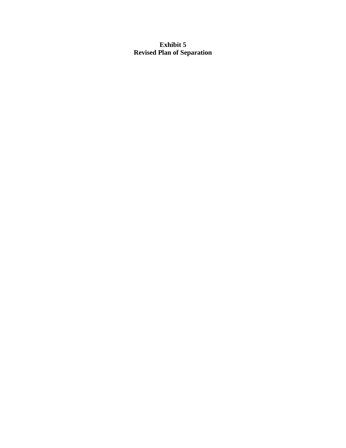# **Exhibit 5 Revised Plan of Separation**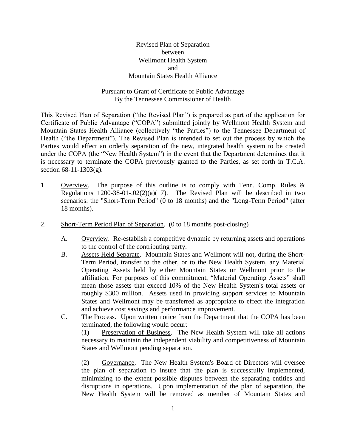Revised Plan of Separation between Wellmont Health System and Mountain States Health Alliance

# Pursuant to Grant of Certificate of Public Advantage By the Tennessee Commissioner of Health

This Revised Plan of Separation ("the Revised Plan") is prepared as part of the application for Certificate of Public Advantage ("COPA") submitted jointly by Wellmont Health System and Mountain States Health Alliance (collectively "the Parties") to the Tennessee Department of Health ("the Department"). The Revised Plan is intended to set out the process by which the Parties would effect an orderly separation of the new, integrated health system to be created under the COPA (the "New Health System") in the event that the Department determines that it is necessary to terminate the COPA previously granted to the Parties, as set forth in T.C.A. section 68-11-1303(g).

- 1. Overview. The purpose of this outline is to comply with Tenn. Comp. Rules & Regulations  $1200-38-01-.02(2)(a)(17)$ . The Revised Plan will be described in two scenarios: the "Short-Term Period" (0 to 18 months) and the "Long-Term Period" (after 18 months).
- 2. Short-Term Period Plan of Separation. (0 to 18 months post-closing)
	- A. Overview. Re-establish a competitive dynamic by returning assets and operations to the control of the contributing party.
	- B. Assets Held Separate. Mountain States and Wellmont will not, during the Short-Term Period, transfer to the other, or to the New Health System, any Material Operating Assets held by either Mountain States or Wellmont prior to the affiliation. For purposes of this commitment, "Material Operating Assets" shall mean those assets that exceed 10% of the New Health System's total assets or roughly \$300 million. Assets used in providing support services to Mountain States and Wellmont may be transferred as appropriate to effect the integration and achieve cost savings and performance improvement.
	- C. The Process. Upon written notice from the Department that the COPA has been terminated, the following would occur:

(1) Preservation of Business. The New Health System will take all actions necessary to maintain the independent viability and competitiveness of Mountain States and Wellmont pending separation.

(2) Governance. The New Health System's Board of Directors will oversee the plan of separation to insure that the plan is successfully implemented, minimizing to the extent possible disputes between the separating entities and disruptions in operations. Upon implementation of the plan of separation, the New Health System will be removed as member of Mountain States and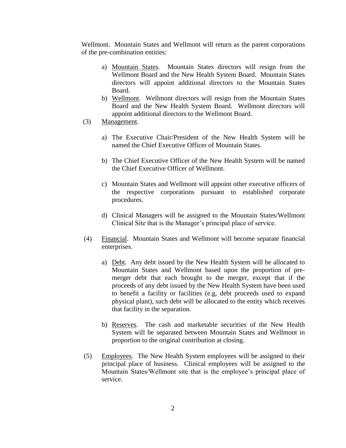Wellmont. Mountain States and Wellmont will return as the parent corporations of the pre-combination entities:

- a) Mountain States. Mountain States directors will resign from the Wellmont Board and the New Health System Board. Mountain States directors will appoint additional directors to the Mountain States Board.
- b) Wellmont. Wellmont directors will resign from the Mountain States Board and the New Health System Board. Wellmont directors will appoint additional directors to the Wellmont Board.
- (3) Management.
	- a) The Executive Chair/President of the New Health System will be named the Chief Executive Officer of Mountain States.
	- b) The Chief Executive Officer of the New Health System will be named the Chief Executive Officer of Wellmont.
	- c) Mountain States and Wellmont will appoint other executive officers of the respective corporations pursuant to established corporate procedures.
	- d) Clinical Managers will be assigned to the Mountain States/Wellmont Clinical Site that is the Manager's principal place of service.
- (4) Financial. Mountain States and Wellmont will become separate financial enterprises.
	- a) Debt. Any debt issued by the New Health System will be allocated to Mountain States and Wellmont based upon the proportion of premerger debt that each brought to the merger, except that if the proceeds of any debt issued by the New Health System have been used to benefit a facility or facilities (e.g, debt proceeds used to expand physical plant), such debt will be allocated to the entity which receives that facility in the separation.
	- b) Reserves. The cash and marketable securities of the New Health System will be separated between Mountain States and Wellmont in proportion to the original contribution at closing.
- (5) Employees. The New Health System employees will be assigned to their principal place of business. Clinical employees will be assigned to the Mountain States/Wellmont site that is the employee's principal place of service.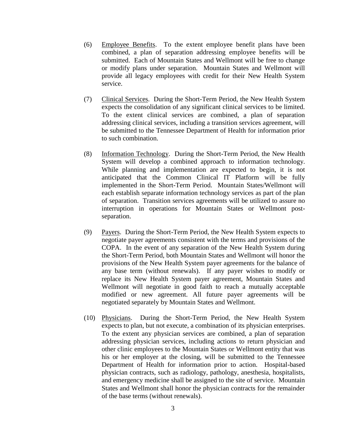- (6) Employee Benefits. To the extent employee benefit plans have been combined, a plan of separation addressing employee benefits will be submitted. Each of Mountain States and Wellmont will be free to change or modify plans under separation. Mountain States and Wellmont will provide all legacy employees with credit for their New Health System service.
- (7) Clinical Services. During the Short-Term Period, the New Health System expects the consolidation of any significant clinical services to be limited. To the extent clinical services are combined, a plan of separation addressing clinical services, including a transition services agreement, will be submitted to the Tennessee Department of Health for information prior to such combination.
- (8) Information Technology. During the Short-Term Period, the New Health System will develop a combined approach to information technology. While planning and implementation are expected to begin, it is not anticipated that the Common Clinical IT Platform will be fully implemented in the Short-Term Period. Mountain States/Wellmont will each establish separate information technology services as part of the plan of separation. Transition services agreements will be utilized to assure no interruption in operations for Mountain States or Wellmont postseparation.
- (9) Payers. During the Short-Term Period, the New Health System expects to negotiate payer agreements consistent with the terms and provisions of the COPA. In the event of any separation of the New Health System during the Short-Term Period, both Mountain States and Wellmont will honor the provisions of the New Health System payer agreements for the balance of any base term (without renewals). If any payer wishes to modify or replace its New Health System payer agreement, Mountain States and Wellmont will negotiate in good faith to reach a mutually acceptable modified or new agreement. All future payer agreements will be negotiated separately by Mountain States and Wellmont.
- (10) Physicians. During the Short-Term Period, the New Health System expects to plan, but not execute, a combination of its physician enterprises. To the extent any physician services are combined, a plan of separation addressing physician services, including actions to return physician and other clinic employees to the Mountain States or Wellmont entity that was his or her employer at the closing, will be submitted to the Tennessee Department of Health for information prior to action. Hospital-based physician contracts, such as radiology, pathology, anesthesia, hospitalists, and emergency medicine shall be assigned to the site of service. Mountain States and Wellmont shall honor the physician contracts for the remainder of the base terms (without renewals).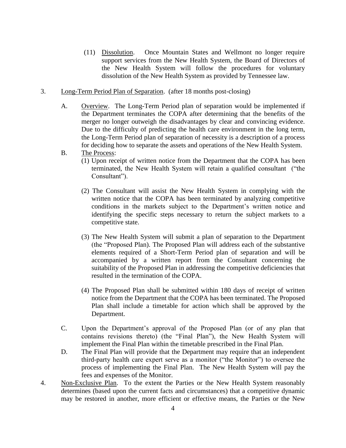- (11) Dissolution. Once Mountain States and Wellmont no longer require support services from the New Health System, the Board of Directors of the New Health System will follow the procedures for voluntary dissolution of the New Health System as provided by Tennessee law.
- 3. Long-Term Period Plan of Separation. (after 18 months post-closing)
	- A. Overview. The Long-Term Period plan of separation would be implemented if the Department terminates the COPA after determining that the benefits of the merger no longer outweigh the disadvantages by clear and convincing evidence. Due to the difficulty of predicting the health care environment in the long term, the Long-Term Period plan of separation of necessity is a description of a process for deciding how to separate the assets and operations of the New Health System.
	- B. The Process:
		- (1) Upon receipt of written notice from the Department that the COPA has been terminated, the New Health System will retain a qualified consultant ("the Consultant").
		- (2) The Consultant will assist the New Health System in complying with the written notice that the COPA has been terminated by analyzing competitive conditions in the markets subject to the Department's written notice and identifying the specific steps necessary to return the subject markets to a competitive state.
		- (3) The New Health System will submit a plan of separation to the Department (the "Proposed Plan). The Proposed Plan will address each of the substantive elements required of a Short-Term Period plan of separation and will be accompanied by a written report from the Consultant concerning the suitability of the Proposed Plan in addressing the competitive deficiencies that resulted in the termination of the COPA.
		- (4) The Proposed Plan shall be submitted within 180 days of receipt of written notice from the Department that the COPA has been terminated. The Proposed Plan shall include a timetable for action which shall be approved by the Department.
	- C. Upon the Department's approval of the Proposed Plan (or of any plan that contains revisions thereto) (the "Final Plan"), the New Health System will implement the Final Plan within the timetable prescribed in the Final Plan.
	- D. The Final Plan will provide that the Department may require that an independent third-party health care expert serve as a monitor ("the Monitor") to oversee the process of implementing the Final Plan. The New Health System will pay the fees and expenses of the Monitor.
- 4. Non-Exclusive Plan. To the extent the Parties or the New Health System reasonably determines (based upon the current facts and circumstances) that a competitive dynamic may be restored in another, more efficient or effective means, the Parties or the New